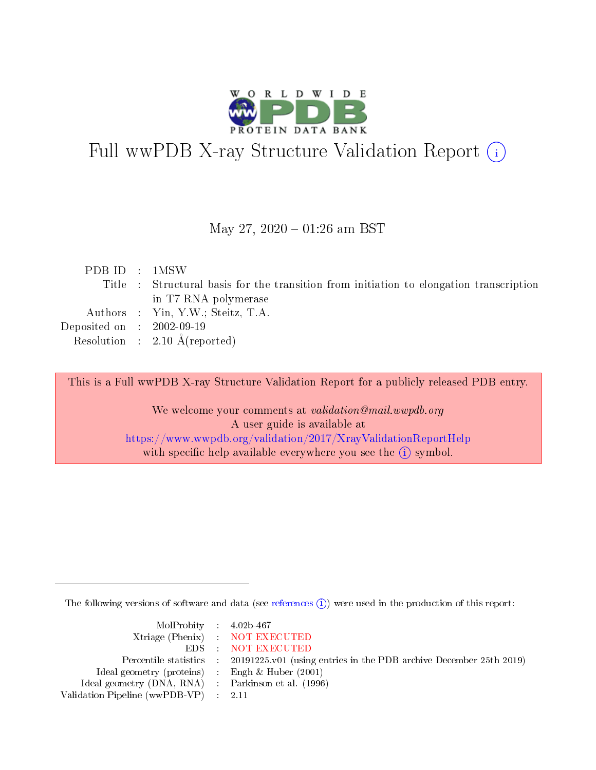

# Full wwPDB X-ray Structure Validation Report (i)

#### May 27,  $2020 - 01:26$  am BST

|  | PDB ID : 1MSW                                                                           |
|--|-----------------------------------------------------------------------------------------|
|  | Title : Structural basis for the transition from initiation to elongation transcription |
|  | in T7 RNA polymerase                                                                    |
|  | Authors : Yin, Y.W.; Steitz, T.A.                                                       |
|  | Deposited on : $2002-09-19$                                                             |
|  | Resolution : $2.10 \text{ Å}$ (reported)                                                |

This is a Full wwPDB X-ray Structure Validation Report for a publicly released PDB entry.

We welcome your comments at validation@mail.wwpdb.org A user guide is available at <https://www.wwpdb.org/validation/2017/XrayValidationReportHelp> with specific help available everywhere you see the  $(i)$  symbol.

The following versions of software and data (see [references](https://www.wwpdb.org/validation/2017/XrayValidationReportHelp#references)  $\overline{(1)}$ ) were used in the production of this report:

| $MolProbability$ 4.02b-467                          |                                                                    |
|-----------------------------------------------------|--------------------------------------------------------------------|
|                                                     | Xtriage (Phenix) NOT EXECUTED                                      |
|                                                     | EDS : NOT EXECUTED                                                 |
| Percentile statistics :                             | 20191225.v01 (using entries in the PDB archive December 25th 2019) |
| Ideal geometry (proteins) :                         | Engh $\&$ Huber (2001)                                             |
| Ideal geometry (DNA, RNA) : Parkinson et al. (1996) |                                                                    |
| Validation Pipeline (wwPDB-VP) : 2.11               |                                                                    |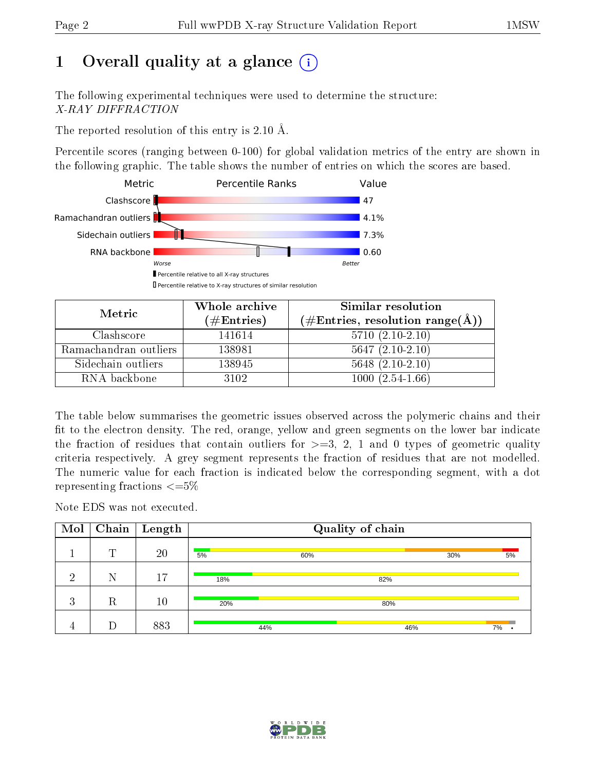## 1 [O](https://www.wwpdb.org/validation/2017/XrayValidationReportHelp#overall_quality)verall quality at a glance  $(i)$

The following experimental techniques were used to determine the structure: X-RAY DIFFRACTION

The reported resolution of this entry is 2.10 Å.

Percentile scores (ranging between 0-100) for global validation metrics of the entry are shown in the following graphic. The table shows the number of entries on which the scores are based.



| Metric                | Whole archive<br>$(\#\text{Entries})$ | Similar resolution<br>$(\#\text{Entries}, \text{resolution range}(\AA))$ |
|-----------------------|---------------------------------------|--------------------------------------------------------------------------|
| Clashscore            | 141614                                | $5710(2.10-2.10)$                                                        |
| Ramachandran outliers | 138981                                | $5647(2.10-2.10)$                                                        |
| Sidechain outliers    | 138945                                | $5648$ $(2.10-2.10)$                                                     |
| RNA backbone          | 3102                                  | $1000(2.54-1.66)$                                                        |

The table below summarises the geometric issues observed across the polymeric chains and their fit to the electron density. The red, orange, yellow and green segments on the lower bar indicate the fraction of residues that contain outliers for  $\geq=3$ , 2, 1 and 0 types of geometric quality criteria respectively. A grey segment represents the fraction of residues that are not modelled. The numeric value for each fraction is indicated below the corresponding segment, with a dot representing fractions  $\epsilon = 5\%$ 

Note EDS was not executed.

| Mol            |         | $\lceil$ Chain $\lceil$ Length | Quality of chain |     |     |     |    |  |  |  |  |  |  |  |  |  |
|----------------|---------|--------------------------------|------------------|-----|-----|-----|----|--|--|--|--|--|--|--|--|--|
|                | m       | 20                             | 5%               | 60% |     | 30% | 5% |  |  |  |  |  |  |  |  |  |
| ച              | Ν       | 17                             | 18%              |     | 82% |     |    |  |  |  |  |  |  |  |  |  |
| 3              | $\rm R$ | 10                             | 20%              |     | 80% |     |    |  |  |  |  |  |  |  |  |  |
| $\overline{4}$ |         | 883                            |                  | 44% | 46% |     | 7% |  |  |  |  |  |  |  |  |  |

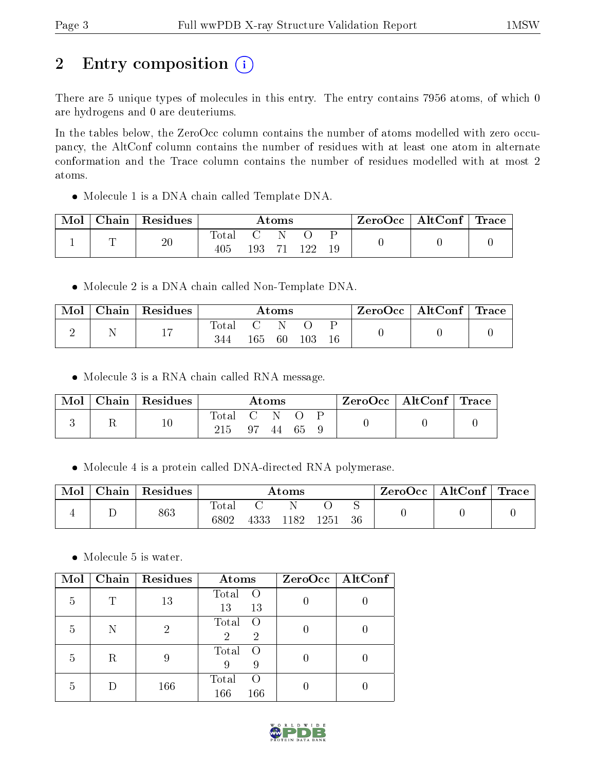## 2 Entry composition (i)

There are 5 unique types of molecules in this entry. The entry contains 7956 atoms, of which 0 are hydrogens and 0 are deuteriums.

In the tables below, the ZeroOcc column contains the number of atoms modelled with zero occupancy, the AltConf column contains the number of residues with at least one atom in alternate conformation and the Trace column contains the number of residues modelled with at most 2 atoms.

Molecule 1 is a DNA chain called Template DNA.

| Mol | ${\rm Chain}$ | $\,$ Residues |                         |     | Atoms |  | $\text{ZeroOcc}$   AltConf   Trace |  |  |  |
|-----|---------------|---------------|-------------------------|-----|-------|--|------------------------------------|--|--|--|
|     | $\sqrt{ }$    | 20            | $\tau_{\rm ota}$<br>405 | 193 |       |  |                                    |  |  |  |

• Molecule 2 is a DNA chain called Non-Template DNA.

| Mol | Chain   Residues |              |     | Atoms |     | $ZeroOcc \mid AltConf \mid Trace$ |  |  |  |
|-----|------------------|--------------|-----|-------|-----|-----------------------------------|--|--|--|
|     | . .              | Total<br>344 | 165 | 60    | 103 | 16                                |  |  |  |

• Molecule 3 is a RNA chain called RNA message.

| Mol | Chain | $\mid$ Residues |                    |    | Atoms |    | $\text{ZeroOcc} \mid \text{AltConf} \mid \text{Trace}$ |  |  |  |
|-----|-------|-----------------|--------------------|----|-------|----|--------------------------------------------------------|--|--|--|
|     |       |                 | $\rm Total$<br>215 | 97 | 44    | 65 |                                                        |  |  |  |

• Molecule 4 is a protein called DNA-directed RNA polymerase.

| Mol | Chain | $\,$ Residues |               |      | $\rm{Atoms}$ |      |     | $ZeroOcc \   \ AltConf \  $ | $\mid$ Trace $\mid$ |
|-----|-------|---------------|---------------|------|--------------|------|-----|-----------------------------|---------------------|
|     |       | 863           | Total<br>6802 | 4333 | 1182         | 1251 | -36 |                             |                     |

• Molecule 5 is water.

| Mol |   | Chain   Residues | Atoms                                            | $ZeroOcc \mid AltConf \mid$ |
|-----|---|------------------|--------------------------------------------------|-----------------------------|
| 5   |   | 13               | Total<br>$\left($<br>13<br>13                    |                             |
| 5   |   | 2                | Total<br>$\left( \right)$<br>2<br>$\overline{2}$ |                             |
| 5   | R | 9                | Total<br>$\left( \right)$<br>9                   |                             |
| 5   |   | 166              | Total<br>$\left( \right)$<br>166<br>166          |                             |

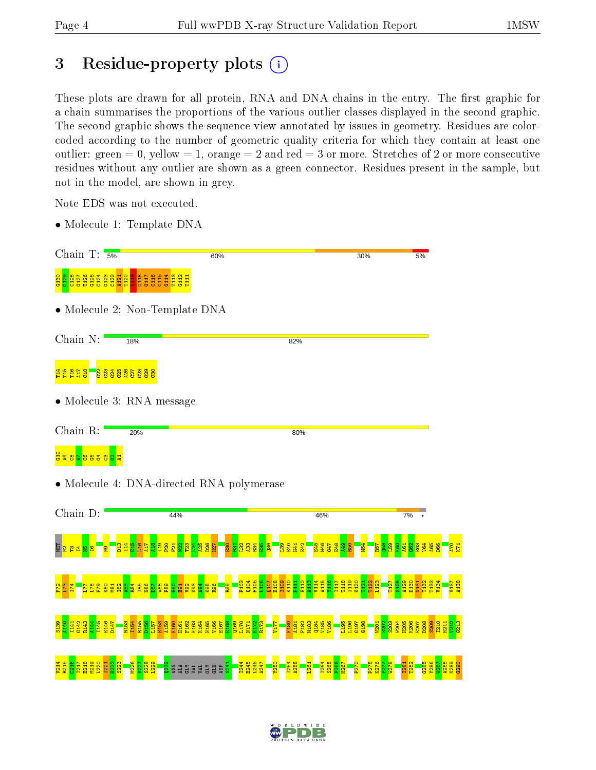V214 R215

C216 I217 E218 M219 L220 I221

 $\frac{22}{2}$ S223 M226  $v_{27}$ S228 L229 os<br>Saddyddiaeth

I244 E245 L246  $\frac{47}{2}$ Y250 I254 A255  $\frac{1261}{2}$ I264 S265 P266 M267 P270 P275 K276  $\frac{277}{2}$ W278 I281 T282 G285 Y286 W287 A288 N289 G290

## 3 Residue-property plots (i)

These plots are drawn for all protein, RNA and DNA chains in the entry. The first graphic for a chain summarises the proportions of the various outlier classes displayed in the second graphic. The second graphic shows the sequence view annotated by issues in geometry. Residues are colorcoded according to the number of geometric quality criteria for which they contain at least one outlier: green  $= 0$ , yellow  $= 1$ , orange  $= 2$  and red  $= 3$  or more. Stretches of 2 or more consecutive residues without any outlier are shown as a green connector. Residues present in the sample, but not in the model, are shown in grey.

Note EDS was not executed.

• Molecule 1: Template DNA

| Chain T: $\frac{1}{5\%}$             |                                                                     | 60%                                       |                                              | 30%                | 5%                                               |  |  |  |  |  |  |  |  |  |  |
|--------------------------------------|---------------------------------------------------------------------|-------------------------------------------|----------------------------------------------|--------------------|--------------------------------------------------|--|--|--|--|--|--|--|--|--|--|
|                                      |                                                                     |                                           |                                              |                    |                                                  |  |  |  |  |  |  |  |  |  |  |
|                                      | • Molecule 2: Non-Template DNA                                      |                                           |                                              |                    |                                                  |  |  |  |  |  |  |  |  |  |  |
| Chain N:                             | 18%                                                                 |                                           | 82%                                          |                    |                                                  |  |  |  |  |  |  |  |  |  |  |
| THETS BOSSSSSSS                      |                                                                     |                                           |                                              |                    |                                                  |  |  |  |  |  |  |  |  |  |  |
|                                      | • Molecule 3: RNA message                                           |                                           |                                              |                    |                                                  |  |  |  |  |  |  |  |  |  |  |
| Chain R:                             | 20%                                                                 |                                           | 80%                                          |                    |                                                  |  |  |  |  |  |  |  |  |  |  |
| <mark>ដ្ឋិ ខ្លួន ខ្លួន ខ្លួ ដ</mark> |                                                                     |                                           |                                              |                    |                                                  |  |  |  |  |  |  |  |  |  |  |
|                                      |                                                                     | • Molecule 4: DNA-directed RNA polymerase |                                              |                    |                                                  |  |  |  |  |  |  |  |  |  |  |
| Chain D:                             | 44%                                                                 |                                           | 46%                                          |                    | 7%                                               |  |  |  |  |  |  |  |  |  |  |
|                                      | $\frac{2}{3}$ $\frac{2}{1}$ $\frac{2}{1}$ $\frac{2}{1}$<br><b>N</b> | ğ                                         | <u>다 8</u><br>3월 3월<br>뙱<br>H <sub>41</sub>  |                    |                                                  |  |  |  |  |  |  |  |  |  |  |
| 5 <sub>1</sub><br>$\frac{88}{5}$     | ន្ត្រី និង និង និង និង និង និង និង និង                              | 1104<br><b>P107</b><br><b>S</b>           | <mark>gggagagagaga</mark><br>halalalalalalan |                    | nas<br>En En En Esta<br>En En Esta<br>137<br>138 |  |  |  |  |  |  |  |  |  |  |
|                                      |                                                                     |                                           | <b>88888</b>                                 | 88<br>1987<br>1988 | v213<br><mark>0213</mark>                        |  |  |  |  |  |  |  |  |  |  |
|                                      |                                                                     |                                           |                                              |                    |                                                  |  |  |  |  |  |  |  |  |  |  |

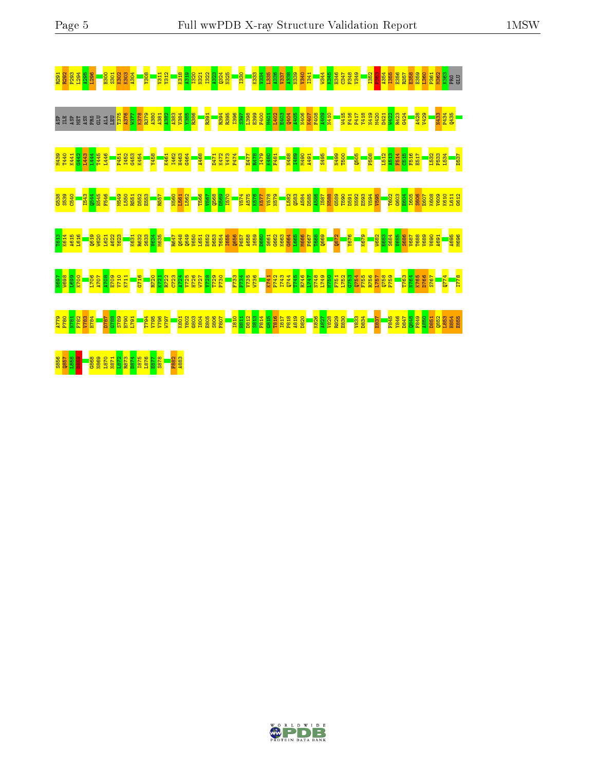| R291        |                         |           |     |                                  | $\frac{1}{1300}$ | 301<br>K302<br>K303                                    |                                                                           | <b>ROST</b>                       |                     | <b>80EX</b>                        |                             | <b>1312</b><br>1312 |              |              | <mark>ន្ទ្រី ខ្លួ</mark>                                                                                                                                                                                                                  |             | <b>N321</b><br>1322 | <b>A323</b>  | 0324<br>1025     |             | <b>I330</b>          |             |             | ន <mark>ិង មិន មិន មិន មិន មិន</mark><br>និង មិន មិន មិន មិន មិន មិន  |              |                     |            |                     | <mark>ाउँ स</mark><br>१९४५                                                                                                                                                                                                                                                                                                                                      |      |              | <mark>용능 용용</mark><br>옵션옵션 |             | 1 <mark>352</mark><br>P353 |      | <b>A354</b><br>I355                                  | <b>E356</b>  | <b>R357</b>         | 358                 | E359<br>1360                                                                    | P361                 | 1362                                             | <b>B</b><br>BEB                                |              |
|-------------|-------------------------|-----------|-----|----------------------------------|------------------|--------------------------------------------------------|---------------------------------------------------------------------------|-----------------------------------|---------------------|------------------------------------|-----------------------------|---------------------|--------------|--------------|-------------------------------------------------------------------------------------------------------------------------------------------------------------------------------------------------------------------------------------------|-------------|---------------------|--------------|------------------|-------------|----------------------|-------------|-------------|-----------------------------------------------------------------------|--------------|---------------------|------------|---------------------|-----------------------------------------------------------------------------------------------------------------------------------------------------------------------------------------------------------------------------------------------------------------------------------------------------------------------------------------------------------------|------|--------------|----------------------------|-------------|----------------------------|------|------------------------------------------------------|--------------|---------------------|---------------------|---------------------------------------------------------------------------------|----------------------|--------------------------------------------------|------------------------------------------------|--------------|
| ASP         | ASP<br>변                | <b>EI</b> | ASN | <b>GLU</b><br><b>BE</b>          | <b>ALA</b>       | LEU                                                    | 1375<br>A376                                                              | <b>LEP</b>                        |                     | K378<br>R379                       |                             |                     |              |              |                                                                                                                                                                                                                                           |             | R391                |              |                  |             |                      |             |             |                                                                       |              |                     |            |                     |                                                                                                                                                                                                                                                                                                                                                                 |      | 1415         | F416<br>P417               | <b>Y418</b> | N419                       | M420 | D421                                                 | W422<br>R423 | 6424                |                     | 82PM<br>V429                                                                    |                      |                                                  | <b>1933</b><br>P434<br>Q <sup>4</sup> 35       |              |
|             | <u> 28일</u><br>대학<br>학학 | 3442      |     | 1445<br>1455<br>1455             | 1446             |                                                        | P451                                                                      | <b>I452</b>                       | <b>G453</b><br>K454 |                                    | Y458                        |                     | K461<br>I462 | <b>H463</b>  | <b>G464</b>                                                                                                                                                                                                                               | <b>A468</b> |                     | <b>HTL</b>   | K472             | V473        | <b>P474</b>          | <b>E477</b> |             | 요 <u>요</u><br><mark>대한 영화</mark><br><u>대한 학</u>                       |              | 06秒<br>1489<br>1480 | <b>491</b> |                     | <b>S495</b>                                                                                                                                                                                                                                                                                                                                                     |      | 0094<br>E65M |                            | 0505        | <b>P508</b>                |      | 1512<br>A513                                         |              | <b>F514</b><br>C515 | F516                | <b>E517</b>                                                                     | L532                 | <mark>ន្ទន្ទ្រ</mark><br><mark>ន្ទ្រន្ទ្រ</mark> |                                                | <b>D537</b>  |
| G538        | 0583<br>0540            |           |     | a<br><mark>Banas</mark><br>Banas |                  |                                                        | <mark>ទ្ធិទ្ធិដ្ឋាន</mark><br>ម្ <mark>និ</mark> ធិធ្ <mark>និទ្ធិ</mark> |                                   |                     | E553                               |                             | R557                | <b>N560</b>  |              | <mark>1562</mark>                                                                                                                                                                                                                         | <b>T566</b> | V567                |              |                  |             |                      |             |             | <b>DENSITA</b><br>1920<br>1930<br>1940<br>1950<br>1950                |              |                     |            |                     | <b>1888 x 1886</b><br>1888 x 1886 x 1888 x 1898<br>1988 x 1888 x 1888 x 1898                                                                                                                                                                                                                                                                                    |      |              |                            |             | 1593<br>1594<br>1595       |      | T602                                                 | 603          | E604<br>1605        |                     | <b>S606</b>                                                                     | E603<br>K603<br>V609 |                                                  | K610                                           | L611<br>G612 |
| T613        | K614<br>A615            | L616      |     | Q619<br><b>M620</b>              | L621             | A622                                                   | <b>Y623</b>                                                               |                                   |                     | ■ <mark><br/><sub>路設設</sub></mark> | <b>ABREAR</b><br>BREAR      |                     |              |              | <b>Read</b><br>Read<br>Read                                                                                                                                                                                                               | 651         |                     | E652<br>D653 | <b>I654</b>      | <b>I655</b> |                      |             |             |                                                                       |              |                     |            |                     | $\begin{array}{l} \textbf{5.58} \textbf{8.69} \textbf{2.88} \textbf{3.89} \textbf{4.89} \textbf{5.80} \textbf{6.81} \textbf{7.81} \textbf{8.83} \textbf{8.84} \textbf{9.85} \textbf{1.86} \textbf{1.87} \textbf{1.88} \textbf{1.89} \textbf{1.89} \textbf{1.80} \textbf{1.81} \textbf{1.81} \textbf{1.82} \textbf{1.83} \textbf{1.83} \textbf{1.84} \textbf{1.$ | 0672 |              | <b>876</b>                 | K679        |                            |      | <mark>ិន្ទី និង</mark><br><mark>ខ្លួន និង</mark> និង |              |                     | V687                |                                                                                 |                      |                                                  | <mark>sa 1<br/><mark>998</mark><br/>998</mark> |              |
| <b>L69M</b> |                         |           |     | <b>1706</b>                      |                  | 012/3<br>802 <mark>.802.</mark><br>202. <mark>8</mark> |                                                                           | K711                              | G716                |                                    | <b>R720</b><br>K721<br>R722 |                     |              |              | <b>ENDA DE SENSE DE</b><br>ENDA DE SENSE DE SENSE DE SENSE DE SENSE DE SENSE DE SENSE DE SENSE DE SENSE DE SENSE DE SENSE DE SENSE DE SEN<br>ENDAN DE SENSE DE SENSE DE SENSE DE SENSE DE SENSE DE SENSE DE SENSE DE SENSE DE SENSE DE SE |             |                     |              | P <sub>730</sub> |             | <b>REZE</b><br>PEZSE |             | <b>98ZM</b> | K741<br>P742                                                          | 1743<br>Q744 |                     |            |                     | 8일 2월 2월 2월 2월<br>19일 2월 2월 2월<br>19일 2월 2월 2일                                                                                                                                                                                                                                                                                                                  |      |              | $6753$<br>$0754$           |             | <b>F755</b><br>R756        |      | eszd<br><u>Lisz</u><br>Lisz                          |              |                     | <b>E263</b><br>N764 | <b>K765</b><br>D766                                                             | <b>Z97S</b>          |                                                  | 0774                                           | <b>E778</b>  |
|             | 824<br>887<br>87<br>872 |           |     | <b>P82A</b>                      |                  | 06215<br>08215<br>1821                                 |                                                                           | L791                              |                     | T <sub>794</sub>                   | V795<br>V796                | <b>L6ZM</b>         |              | <b>K801</b>  | $\frac{8}{2}$ $\frac{8}{2}$ $\frac{8}{2}$ $\frac{8}{2}$ $\frac{8}{2}$ $\frac{8}{2}$                                                                                                                                                       |             |                     |              | F807             |             | <b>Ran</b><br>Bar    |             |             | <u>ន្ត្រី ដូ ដូ ដូ ដូ ដូ ងូ ងូ ន</u><br>នេះ ដូ ដូ ដូ ដូ ដូ ងូ ងូ នូ ន |              |                     |            | <b>R826</b><br>A827 | <b>V828</b>                                                                                                                                                                                                                                                                                                                                                     |      | R829<br>E830 | V833                       | <b>D834</b> |                            | E837 | F845                                                 |              |                     |                     | <b>0881<br/><i>LEBE</i></b><br><b><i>SEBE</i></b><br><b>SEBE</b><br><b>SEBE</b> | <b>D851</b>          |                                                  | <b>8885</b><br>8888                            |              |
| S856        | 8987<br>L958            |           |     | \$868                            | 02.871           | 178M<br>1972                                           |                                                                           | aza<br><mark>22588</mark><br>2388 |                     |                                    | 1877<br>188                 |                     |              | F882<br>A883 |                                                                                                                                                                                                                                           |             |                     |              |                  |             |                      |             |             |                                                                       |              |                     |            |                     |                                                                                                                                                                                                                                                                                                                                                                 |      |              |                            |             |                            |      |                                                      |              |                     |                     |                                                                                 |                      |                                                  |                                                |              |

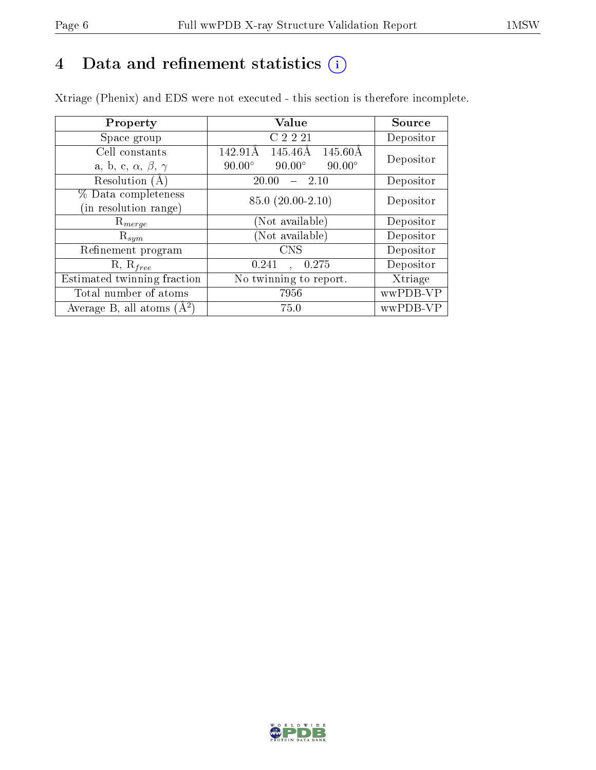## 4 Data and refinement statistics  $(i)$

Xtriage (Phenix) and EDS were not executed - this section is therefore incomplete.

| Property                               | <b>Value</b>                                    | Source    |
|----------------------------------------|-------------------------------------------------|-----------|
| Space group                            | C2221                                           | Depositor |
| Cell constants                         | 142.91Å<br>145.46Å<br>$145.60\text{\AA}$        | Depositor |
| a, b, c, $\alpha$ , $\beta$ , $\gamma$ | $90.00^\circ$<br>$90.00^\circ$<br>$90.00^\circ$ |           |
| Resolution $(A)$                       | 20.00<br>-2.10                                  | Depositor |
| % Data completeness                    | 85.0 (20.00-2.10)                               | Depositor |
| (in resolution range)                  |                                                 |           |
| $\mathrm{R}_{merge}$                   | (Not available)                                 | Depositor |
| $\mathrm{R}_{sym}$                     | (Not available)                                 | Depositor |
| Refinement program                     | <b>CNS</b>                                      | Depositor |
| $R, R_{free}$                          | 0.275<br>0.241<br>$\Delta$                      | Depositor |
| Estimated twinning fraction            | No twinning to report.                          | Xtriage   |
| Total number of atoms                  | 7956                                            | wwPDB-VP  |
| Average B, all atoms $(A^2)$           | 75.0                                            | wwPDB-VP  |

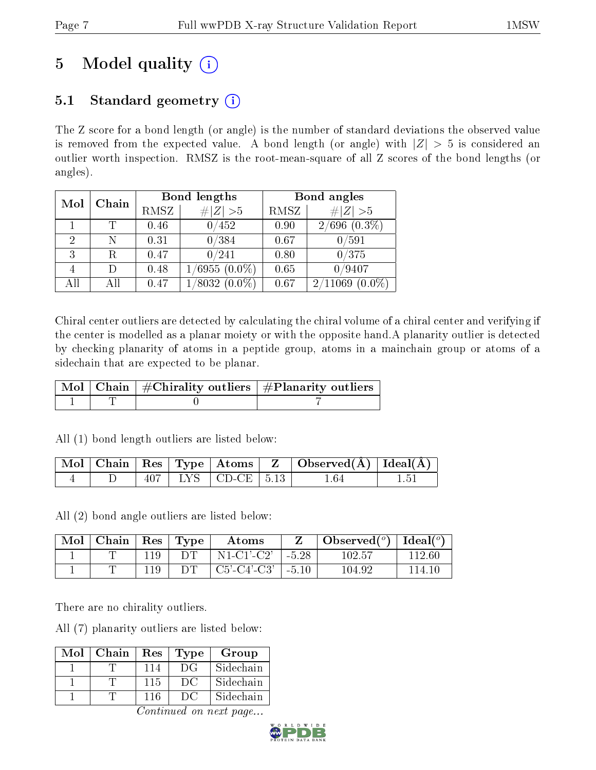## 5 Model quality  $(i)$

### 5.1 Standard geometry  $(i)$

The Z score for a bond length (or angle) is the number of standard deviations the observed value is removed from the expected value. A bond length (or angle) with  $|Z| > 5$  is considered an outlier worth inspection. RMSZ is the root-mean-square of all Z scores of the bond lengths (or angles).

| Mol | Chain |      | Bond lengths       | Bond angles |                      |  |
|-----|-------|------|--------------------|-------------|----------------------|--|
|     |       | RMSZ | # $ Z >5$          | RMSZ        | # $ Z >5$            |  |
|     |       | 0.46 | 0/452              | 0.90        | $2/696$ $(0.3\%)$    |  |
| 2   | N     | 0.31 | 0/384              | 0.67        | $0\, / 591$          |  |
| 3   |       | 0.47 | 0/241              | 0.80        | 0/375                |  |
|     |       | 0.48 | $1/6955(0.0\%)$    | 0.65        | 0/9407               |  |
| All |       | 0.47 | $(0.0\%)$<br>/8032 | 0.67        | 2/11069<br>$(0.0\%)$ |  |

Chiral center outliers are detected by calculating the chiral volume of a chiral center and verifying if the center is modelled as a planar moiety or with the opposite hand.A planarity outlier is detected by checking planarity of atoms in a peptide group, atoms in a mainchain group or atoms of a sidechain that are expected to be planar.

|  | $\boxed{\text{Mol}\mid\text{Chain}}$   $\#\text{Chirality outliers}$   $\#\text{Planarity outliers}$ ' |
|--|--------------------------------------------------------------------------------------------------------|
|  |                                                                                                        |

All (1) bond length outliers are listed below:

|  |  |                            | $\mid$ Mol $\mid$ Chain $\mid$ Res $\mid$ Type $\mid$ Atoms $\mid$ Z $\mid$ Observed(Å) $\mid$ Ideal(Å) $\mid$ |  |
|--|--|----------------------------|----------------------------------------------------------------------------------------------------------------|--|
|  |  | $407$   LYS   CD-CE   5.13 | 1.64                                                                                                           |  |

All (2) bond angle outliers are listed below:

| Mol | $\mid$ Chain $\mid$ Res $\mid$ Type |     |     | Atoms         |         | Observed $(°)$ | Ideal $(°)$ |
|-----|-------------------------------------|-----|-----|---------------|---------|----------------|-------------|
|     |                                     |     |     | $N1-C1'-C2'$  | $-5.28$ | 102.57         | 112.60      |
|     |                                     | 110 | DT. | $C5'-C4'-C3'$ | $-5.10$ | 104.92         | 114-10      |

There are no chirality outliers.

All (7) planarity outliers are listed below:

| Mol | Chain | Res | Type | Group     |
|-----|-------|-----|------|-----------|
|     |       | 114 | DG   | Sidechain |
|     |       | 115 | DC   | Sidechain |
|     |       | 116 | DC   | Sidechain |

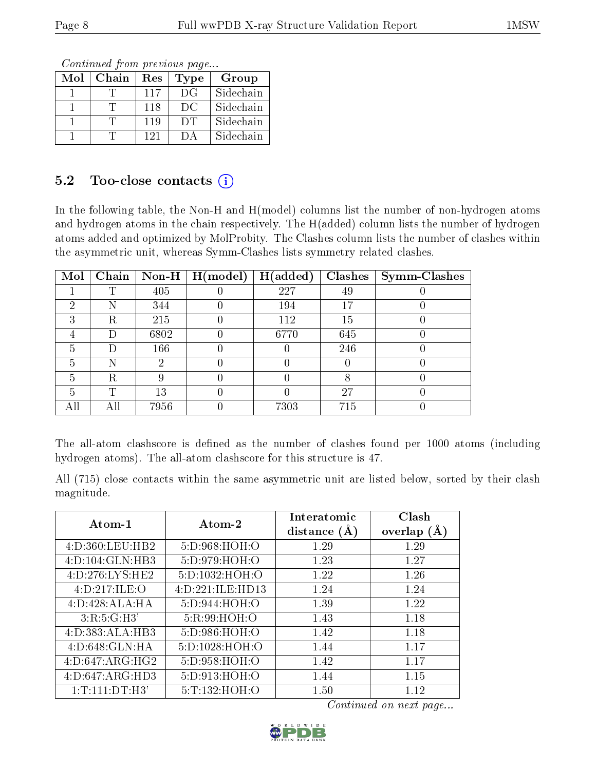Continued from previous page...

| Mol | Chain | Res | Type      | Group     |
|-----|-------|-----|-----------|-----------|
|     |       | 117 | DG        | Sidechain |
|     |       | 118 | DC        | Sidechain |
|     |       | 119 | <b>DT</b> | Sidechain |
|     |       | 121 | 1 ) A     | Sidechain |

### 5.2 Too-close contacts  $(i)$

In the following table, the Non-H and H(model) columns list the number of non-hydrogen atoms and hydrogen atoms in the chain respectively. The H(added) column lists the number of hydrogen atoms added and optimized by MolProbity. The Clashes column lists the number of clashes within the asymmetric unit, whereas Symm-Clashes lists symmetry related clashes.

| Mol |     |      | Chain   Non-H   $H (model)$ | H(added) | <b>Clashes</b> | <b>Symm-Clashes</b> |
|-----|-----|------|-----------------------------|----------|----------------|---------------------|
|     | ௱   | 405  |                             | 227      | 49             |                     |
| 2   | N   | 344  |                             | 194      | 17             |                     |
| 3   | R   | 215  |                             | 112      | 15             |                     |
|     | Ð   | 6802 |                             | 6770     | 645            |                     |
| 5   |     | 166  |                             |          | 246            |                     |
| 5   |     | ٠,   |                             |          |                |                     |
| 5   | R   |      |                             |          |                |                     |
| 5   | ௱   | 13   |                             |          | 27             |                     |
| All | All | 7956 |                             | 7303     | 715            |                     |

The all-atom clashscore is defined as the number of clashes found per 1000 atoms (including hydrogen atoms). The all-atom clashscore for this structure is 47.

All (715) close contacts within the same asymmetric unit are listed below, sorted by their clash magnitude.

| Atom-1             | Atom-2            | Interatomic<br>distance $(A)$ | Clash<br>overlap $(A)$ |
|--------------------|-------------------|-------------------------------|------------------------|
| 4:D:360:LEU:HB2    | 5:D:968:HOH:O     | 1.29                          | 1.29                   |
| 4:D:104:GLN:HB3    | 5: D:979: HOH:O   | 1.23                          | 1.27                   |
| 4:D:276:LYS:HE2    | 5:D:1032:HOH:O    | 1.22                          | 1.26                   |
| 4:D:217:ILE:O      | 4:D:221:ILE:HD13  | 1.24                          | 1.24                   |
| 4:D:428:ALA:HA     | 5:D:944:HOH:O     | 1.39                          | 1.22                   |
| 3:R:5:G:H3'        | 5:R:99:HOH:O      | 1.43                          | 1.18                   |
| 4:D:383:ALA:HB3    | 5:D:986:HOH:O     | 1.42                          | 1.18                   |
| 4:D:648:GLN:HA     | 5: D: 1028: HOH:O | 1.44                          | 1 1 7                  |
| 4:D:647:ARG:HG2    | 5:D:958:HOH:O     | 1.42                          | 1.17                   |
| 4:D:647:ARG:HD3    | 5:D:913:HOH:O     | 1.44                          | 1.15                   |
| 1: T: 111: DT: H3' | 5: T: 132: HOH:O  | 1.50                          | 1.12                   |

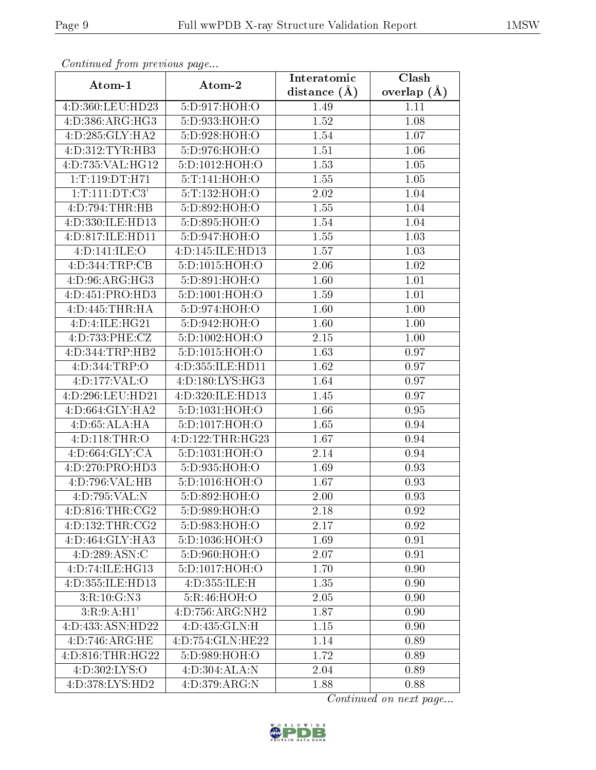| Conning Carlotte providue pugo |                              | Interatomic    | Clash           |
|--------------------------------|------------------------------|----------------|-----------------|
| Atom-1                         | Atom-2                       | distance $(A)$ | overlap $(\AA)$ |
| 4:D:360:LEU:HD23               | 5:D:917:HOH:O                | 1.49           | 1.11            |
| 4:D:386:ARG:HG3                | 5:D:933:HOH:O                | 1.52           | 1.08            |
| 4:D:285:GLY:HA2                | 5:D:928:HOH:O                | 1.54           | 1.07            |
| 4:D:312:TYR:HB3                | 5:D:976:HOH:O                | 1.51           | 1.06            |
| 4:D:735:VAL:HG12               | 5:D:1012:HOH:O               | 1.53           | $1.05\,$        |
| 1: T: 119: DT: H71             | 5:T:141:HOH:O                | 1.55           | 1.05            |
| 1: T: 111: DT: C3'             | 5:T:132:HOH:O                | 2.02           | 1.04            |
| 4:D:794:THR:HB                 | 5:D:892:HOH:O                | 1.55           | 1.04            |
| 4: D: 330: ILE: HD13           | 5:D:895:HOH:O                | 1.54           | 1.04            |
| 4:D:817:ILE:HD11               | 5:D:947:HOH:O                | 1.55           | 1.03            |
| 4:D:141:ILE:O                  | 4:D:145:ILE:HD13             | 1.57           | 1.03            |
| 4:D:344:TRP:CB                 | 5:D:1015:HOH:O               | 2.06           | 1.02            |
| 4: D: 96: ARG: HG3             | 5:D:891:HOH:O                | 1.60           | 1.01            |
| 4:D:451:PRO:HD3                | 5:D:1001:HOH:O               | 1.59           | 1.01            |
| 4:D:445:THR:HA                 | 5:D:974:HOH:O                | 1.60           | 1.00            |
| 4:D:4:ILE:HG21                 | 5:D:942:HOH:O                | 1.60           | $1.00\,$        |
| 4:D:733:PHE:CZ                 | 5: D: 1002: HOH:O            | 2.15           | 1.00            |
| 4:D:344:TRP:HB2                | 5:D:1015:HOH:O               | 1.63           | 0.97            |
| 4:D:344:TRP:O                  | 4:D:355:ILE:HD11             | 1.62           | 0.97            |
| 4:D:177:VAL:O                  | 4:D:180:LYS:HG3              | 1.64           | 0.97            |
| 4:D:296:LEU:HD21               | 4:D:320:ILE:HD13             | 1.45           | 0.97            |
| 4:D:664:GLY:HA2                | 5:D:1031:HOH:O               | 1.66           | 0.95            |
| 4: D:65: ALA: HA               | 5:D:1017:HOH:O               | 1.65           | 0.94            |
| 4:D:118:THR:O                  | 4:D:122:THR:HG23             | 1.67           | 0.94            |
| 4: D:664: GLY:CA               | 5:D:1031:HOH:O               | 2.14           | 0.94            |
| 4:D:270:PRO:HD3                | 5:D:935:HOH:O                | 1.69           | 0.93            |
| 4:D:796:VAL:HB                 | 5:D:1016:HOH:O               | 1.67           | 0.93            |
| 4:D:795:VAL:N                  | 5:D:892:HOH:O                | 2.00           | 0.93            |
| 4: D:816: THR:CG2              | 5:D:989:HOH:O                | 2.18           | 0.92            |
| 4:D:132:THR:CG2                | 5:D:983:HOH:O                | 2.17           | 0.92            |
| 4:D:464:GLY:HA3                | 5:D:1036:HOH:O               | 1.69           | 0.91            |
| 4:D:289:ASN:C                  | 5:D:960:HOH:O                | 2.07           | 0.91            |
| 4:D:74:ILE:HG13                | 5:D:1017:HOH:O               | 1.70           | 0.90            |
| 4:D:355:ILE:HD13               | 4:D:355:ILE:H                | 1.35           | 0.90            |
| 3:R:10:G:N3                    | 5:R:46:HOH:O                 | 2.05           | 0.90            |
| 3:R:9:A:H1'                    | $4:D:756:ARG:\overline{NH2}$ | 1.87           | 0.90            |
| 4:D:433:ASN:HD22               | 4:D:435:GLN:H                | 1.15           | 0.90            |
| 4:D:746:ARG:HE                 | 4:D:754:GLN:HE22             | 1.14           | 0.89            |
| 4: D: 816: THR: HG22           | 5:D:989:HOH:O                | 1.72           | 0.89            |
| 4:D:302:LYS:O                  | 4:D:304:ALA:N                | 2.04           | 0.89            |
| 4:D:378:LYS:HD2                | 4: D: 379: ARG: N            | 1.88           | 0.88            |

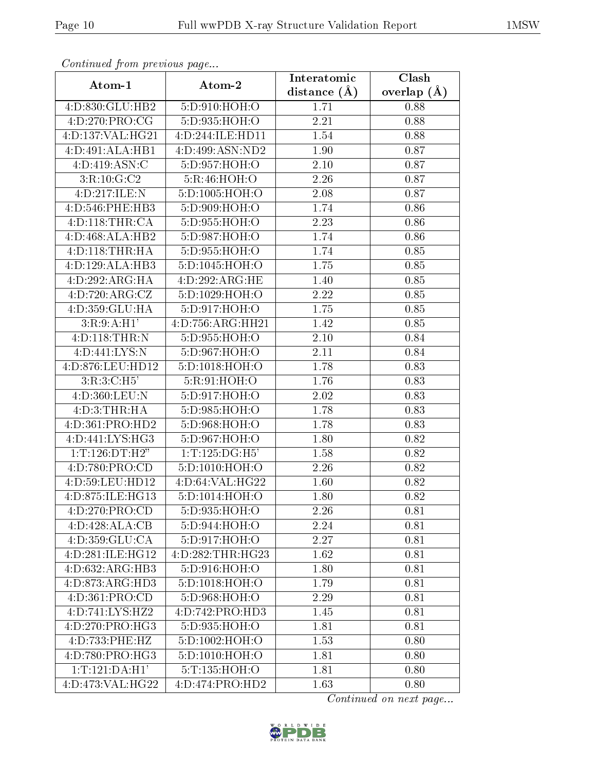| Continuatu jibin previous puge                     |                    | Interatomic       | Clash           |
|----------------------------------------------------|--------------------|-------------------|-----------------|
| Atom-1                                             | Atom-2             | distance $(\AA)$  | overlap $(\AA)$ |
| 4:D:830:GLU:HB2                                    | 5:D:910:HOH:O      | 1.71              | 0.88            |
| 4:D:270:PRO:CG                                     | 5:D:935:HOH:O      | 2.21              | 0.88            |
| 4:D:137:VAL:HG21                                   | 4:D:244:ILE:HD11   | 1.54              | 0.88            |
| 4:D:491:ALA:HB1                                    | 4:D:499:ASN:ND2    | 1.90              | 0.87            |
| 4: D: 419: ASN: C                                  | 5:D:957:HOH:O      | 2.10              | 0.87            |
| 3:R:10:G:C2                                        | 5:R:46:HOH:O       | 2.26              | 0.87            |
| 4:D:217:ILE:N                                      | 5: D: 1005: HOH:O  | 2.08              | 0.87            |
| 4:D:546:PHE:HB3                                    | 5:D:909:HOH:O      | 1.74              | 0.86            |
| 4: D: 118: THR: CA                                 | 5:D:955:HOH:O      | 2.23              | 0.86            |
| $4:\overline{D}:468:\overline{ALA}:\overline{HB2}$ | 5:D:987:HOH:O      | 1.74              | 0.86            |
| 4:D:118:THR:HA                                     | 5:D:955:HOH:O      | 1.74              | 0.85            |
| 4:D:129:ALA:HB3                                    | 5:D:1045:HOH:O     | 1.75              | 0.85            |
| 4:D:292:ARG:HA                                     | 4:D:292:ARG:HE     | 1.40              | 0.85            |
| 4:D:720:ARG:CZ                                     | 5:D:1029:HOH:O     | 2.22              | 0.85            |
| 4:D:359:GLU:HA                                     | 5:D:917:HOH:O      | 1.75              | 0.85            |
| 3:R:9:A:H1'                                        | 4:D:756:ARG:HH21   | 1.42              | 0.85            |
| 4:D:118:THR:N                                      | 5:D:955:HOH:O      | $2.10\,$          | 0.84            |
| 4:D:441:LYS:N                                      | 5:D:967:HOH:O      | 2.11              | 0.84            |
| 4:D:876:LEU:HD12                                   | 5:D:1018:HOH:O     | 1.78              | 0.83            |
| 3:R:3:C:H5                                         | 5:R:91:HOH:O       | 1.76              | 0.83            |
| 4:D:360:LEU:N                                      | 5:D:917:HOH:O      | 2.02              | 0.83            |
| 4: D: 3: THR: HA                                   | 5:D:985:HOH:O      | 1.78              | 0.83            |
| 4:D:361:PRO:HD2                                    | 5:D:968:HOH:O      | 1.78              | 0.83            |
| 4:D:441:LYS:HG3                                    | 5:D:967:HOH:O      | 1.80              | 0.82            |
| 1: T: 126: DT:H2"                                  | 1: T: 125: DG:H5'  | 1.58              | 0.82            |
| 4:D:780:PRO:CD                                     | 5:D:1010:HOH:O     | 2.26              | 0.82            |
| 4:D:59:LEU:HD12                                    | $4:$ D:64:VAL:HG22 | 1.60              | 0.82            |
| 4:D:875:ILE:HG13                                   | 5:D:1014:HOH:O     | $\overline{1}.80$ | 0.82            |
| 4:D:270:PRO:CD                                     | 5:D:935:HOH:O      | 2.26              | 0.81            |
| 4:D:428:ALA:CB                                     | 5:D:944:HOH:O      | 2.24              | 0.81            |
| 4:D:359:GLU:CA                                     | 5:D:917:HOH:O      | 2.27              | 0.81            |
| 4:D:281:ILE:HG12                                   | 4:D:282:THR:HG23   | 1.62              | 0.81            |
| 4:D:632:ARG:HB3                                    | 5:D:916:HOH:O      | 1.80              | 0.81            |
| 4:D:873:ARG:HD3                                    | 5:D:1018:HOH:O     | 1.79              | 0.81            |
| 4:D:361:PRO:CD                                     | 5:D:968:HOH:O      | 2.29              | 0.81            |
| 4:D:741:LYS:HZ2                                    | 4:D:742:PRO:HD3    | 1.45              | 0.81            |
| 4:D:270:PRO:HG3                                    | 5:D:935:HOH:O      | 1.81              | 0.81            |
| 4:D:733:PHE:HZ                                     | 5:D:1002:HOH:O     | 1.53              | 0.80            |
| 4:D:780:PRO:HG3                                    | 5:D:1010:HOH:O     | 1.81              | 0.80            |
| 1: T: 121: DA: H1'                                 | 5:T:135:HOH:O      | 1.81              | 0.80            |
| 4:D:473:VAL:HG22                                   | 4:D:474:PRO:HD2    | 1.63              | 0.80            |

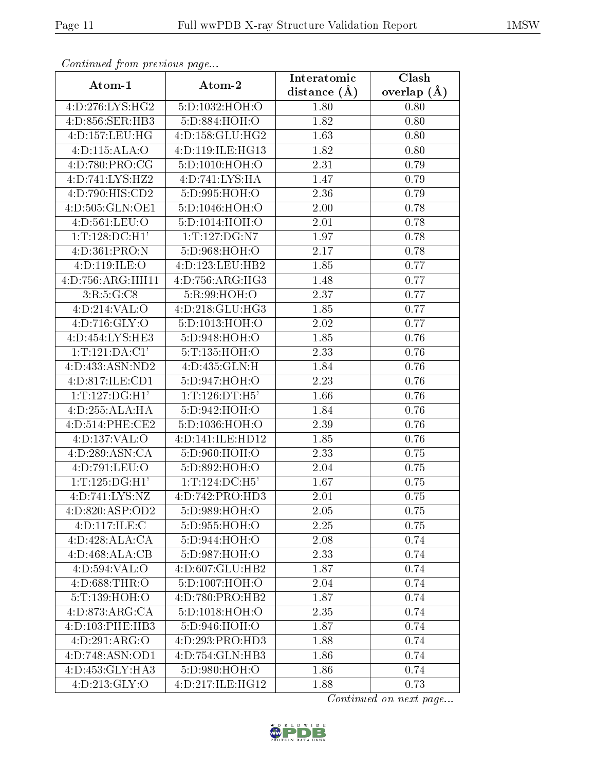| Continuati pont previous page |                     | Interatomic    | Clash           |
|-------------------------------|---------------------|----------------|-----------------|
| Atom-1                        | Atom-2              | distance $(A)$ | overlap $(\AA)$ |
| 4:D:276:LYS:HG2               | 5:D:1032:HOH:O      | 1.80           | 0.80            |
| 4:D:856:SER:HB3               | 5:D:884:HOH:O       | 1.82           | 0.80            |
| 4:D:157:LEU:HG                | 4: D: 158: GLU: HG2 | 1.63           | 0.80            |
| 4: D: 115: ALA: O             | 4:D:119:ILE:HG13    | 1.82           | 0.80            |
| 4:D:780:PRO:CG                | 5: D: 1010: HOH:O   | 2.31           | 0.79            |
| 4:D:741:LYS:HZ2               | 4:D:741:LYS:HA      | 1.47           | 0.79            |
| 4:D:790:HIS:CD2               | 5:D:995:HOH:O       | 2.36           | 0.79            |
| 4:D:505:GLN:OE1               | 5:D:1046:HOH:O      | 2.00           | 0.78            |
| 4:D:561:LEU:O                 | 5:D:1014:HOH:O      | 2.01           | 0.78            |
| 1: T: 128: DC:H1'             | 1:T:127:DG:N7       | 1.97           | 0.78            |
| 4:D:361:PRO:N                 | 5:D:968:HOH:O       | 2.17           | 0.78            |
| 4:D:119:ILE:O                 | 4:D:123:LEU:HB2     | 1.85           | 0.77            |
| 4:D:756:ARG:HH11              | 4: D: 756: ARG: HG3 | 1.48           | 0.77            |
| 3:R:5:G:CS                    | 5:R:99:HOH:O        | 2.37           | 0.77            |
| 4: D:214: VAL:O               | 4:D:218:GLU:HG3     | 1.85           | 0.77            |
| 4:D:716:GLY:O                 | 5:D:1013:HOH:O      | 2.02           | 0.77            |
| 4: D: 454: LYS: HE3           | 5:D:948:HOH:O       | 1.85           | 0.76            |
| 1: T: 121: DA: C1'            | 5:T:135:HOH:O       | 2.33           | 0.76            |
| 4:D:433:ASN:ND2               | 4:D:435:GLN:H       | 1.84           | 0.76            |
| 4:D:817:ILE:CD1               | 5:D:947:HOH:O       | 2.23           | 0.76            |
| 1: T: 127: DG:H1'             | 1: T: 126: DT: H5'  | 1.66           | 0.76            |
| 4:D:255:ALA:HA                | 5:D:942:HOH:O       | 1.84           | 0.76            |
| 4: D: 514: PHE: CE2           | 5:D:1036:HOH:O      | 2.39           | 0.76            |
| 4:D:137:VAL:O                 | 4:D:141:ILE:HD12    | 1.85           | 0.76            |
| 4:D:289:ASN:CA                | 5:D:960:HOH:O       | 2.33           | 0.75            |
| 4:D:791:LEU:O                 | 5:D:892:HOH:O       | 2.04           | 0.75            |
| 1: T: 125: DG:H1'             | 1: T: 124: DC: H5'  | 1.67           | 0.75            |
| 4:D:741:LYS:NZ                | 4:D:742:PRO:HD3     | 2.01           | 0.75            |
| 4:D:820:ASP:OD2               | 5:D:989:HOH:O       | 2.05           | 0.75            |
| 4:D:117:ILE:C                 | 5:D:955:HOH:O       | 2.25           | 0.75            |
| 4:D:428:ALA:CA                | 5: D:944: HOH: O    | 2.08           | 0.74            |
| 4:D:468:ALA:CB                | 5: D:987: HOH:O     | 2.33           | 0.74            |
| 4:D:594:VAL:O                 | 4:D:607:GLU:HB2     | 1.87           | 0.74            |
| 4:D:688:THR:O                 | 5:D:1007:HOH:O      | 2.04           | 0.74            |
| 5:T:139:HOH:O                 | 4:D:780:PRO:HB2     | 1.87           | 0.74            |
| 4: D:873: ARG:CA              | 5:D:1018:HOH:O      | 2.35           | 0.74            |
| 4:D:103:PHE:HB3               | 5:D:946:HOH:O       | 1.87           | 0.74            |
| 4:D:291:ARG:O                 | 4:D:293:PRO:HD3     | 1.88           | 0.74            |
| 4:D:748:ASN:OD1               | 4:D:754:GLN:HB3     | 1.86           | 0.74            |
| 4:D:453:GLY:HA3               | 5:D:980:HOH:O       | 1.86           | 0.74            |
| 4: D: 213: GLY:O              | 4:D:217:ILE:HGI2    | 1.88           | 0.73            |

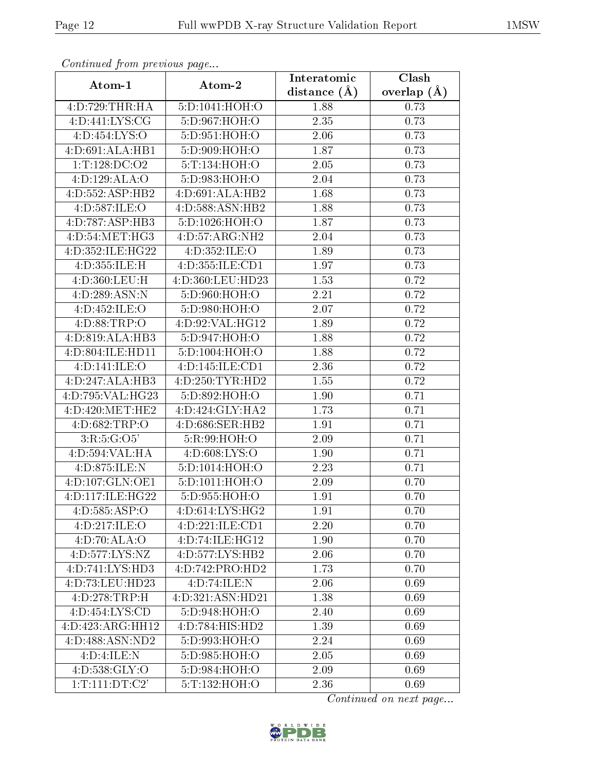| Continuation providus page |                  | Interatomic    | Clash           |
|----------------------------|------------------|----------------|-----------------|
| Atom-1                     | Atom-2           | distance $(A)$ | overlap $(\AA)$ |
| 4:D:729:THR:HA             | 5:D:1041:HOH:O   | 1.88           | 0.73            |
| 4: D: 441: LYS: CG         | 5:D:967:HOH:O    | 2.35           | 0.73            |
| 4:D:454:LYS:O              | 5:D:951:HOH:O    | 2.06           | 0.73            |
| 4:D:691:ALA:HB1            | 5:D:909:HOH:O    | 1.87           | 0.73            |
| 1:T:128:DC:O2              | 5:T:134:HOH:O    | 2.05           | 0.73            |
| 4:D:129:ALA:O              | 5:D:983:HOH:O    | 2.04           | 0.73            |
| 4:D:552:ASP:HB2            | 4:D:691:ALA:HB2  | 1.68           | 0.73            |
| 4:D:587:ILE:O              | 4:D:588:ASN:HB2  | 1.88           | 0.73            |
| 4:D:787:ASP:HB3            | 5:D:1026:HOH:O   | 1.87           | 0.73            |
| 4:D:54:MET:HG3             | 4:D:57:ARG:NH2   | 2.04           | 0.73            |
| 4:D:352:ILE:HG22           | 4:D:352:ILE:O    | 1.89           | 0.73            |
| 4:D:355:ILE:H              | 4:D:355:ILE:CD1  | 1.97           | 0.73            |
| 4:D:360:LEU:H              | 4:D:360:LEU:HD23 | 1.53           | 0.72            |
| 4: D: 289: ASN: N          | 5:D:960:HOH:O    | 2.21           | 0.72            |
| 4:D:452:ILE:O              | 5:D:980:HOH:O    | 2.07           | 0.72            |
| 4:D:88:TRP:O               | 4:D:92:VAL:HG12  | 1.89           | 0.72            |
| 4:D:819:ALA:HB3            | 5:D:947:HOH:O    | 1.88           | 0.72            |
| 4:D:804:ILE:HD11           | 5:D:1004:HOH:O   | 1.88           | 0.72            |
| 4:D:141:ILE:O              | 4:D:145:ILE:CD1  | 2.36           | 0.72            |
| 4:D:247:ALA:HB3            | 4:D:250:TYR:HD2  | 1.55           | 0.72            |
| 4:D:795:VAL:HG23           | 5:D:892:HOH:O    | 1.90           | 0.71            |
| 4:D:420:MET:HE2            | 4:D:424:GLY:HA2  | 1.73           | 0.71            |
| 4:D:682:TRP:O              | 4:D:686:SER:HB2  | 1.91           | 0.71            |
| 3:R:5:G:O5'                | 5:R:99:HOH:O     | 2.09           | 0.71            |
| 4:D:594:VAL:HA             | 4: D:608: LYS:O  | 1.90           | 0.71            |
| 4:D:875:ILE:N              | 5:D:1014:HOH:O   | 2.23           | 0.71            |
| 4:D:107:GLN:OE1            | 5:D:1011:HOH:O   | 2.09           | 0.70            |
| 4:D:117:ILE:HG22           | 5:D:955:HOH:O    | 1.91           | 0.70            |
| 4: D: 585: ASP:O           | 4:D:614:LYS:HG2  | 1.91           | 0.70            |
| 4:D:217:ILE:O              | 4:D:221:ILE:CD1  | 2.20           | 0.70            |
| 4: D:70: ALA:O             | 4:D:74:ILE:HG12  | 1.90           | 0.70            |
| 4:D:577:LYS:NZ             | 4:D:577:LYS:HB2  | 2.06           | 0.70            |
| 4:D:741:LYS:HD3            | 4:D:742:PRO:HD2  | 1.73           | 0.70            |
| 4:D:73:LEU:HD23            | 4:D:74:ILE:N     | 2.06           | 0.69            |
| 4:D:278:TRP:H              | 4:D:321:ASN:HD21 | 1.38           | 0.69            |
| 4:D:454:LYS:CD             | 5:D:948:HOH:O    | 2.40           | 0.69            |
| 4:D:423:ARG:HH12           | 4:D:784:HIS:HD2  | 1.39           | 0.69            |
| 4:D:488:ASN:ND2            | 5:D:993:HOH:O    | 2.24           | 0.69            |
| 4:D:4:ILE:N                | 5:D:985:HOH:O    | 2.05           | 0.69            |
| 4: D: 538: GLY: O          | 5:D:984:HOH:O    | 2.09           | 0.69            |
| 1: T: 111: DT: C2'         | 5:T:132:HOH:O    | 2.36           | 0.69            |

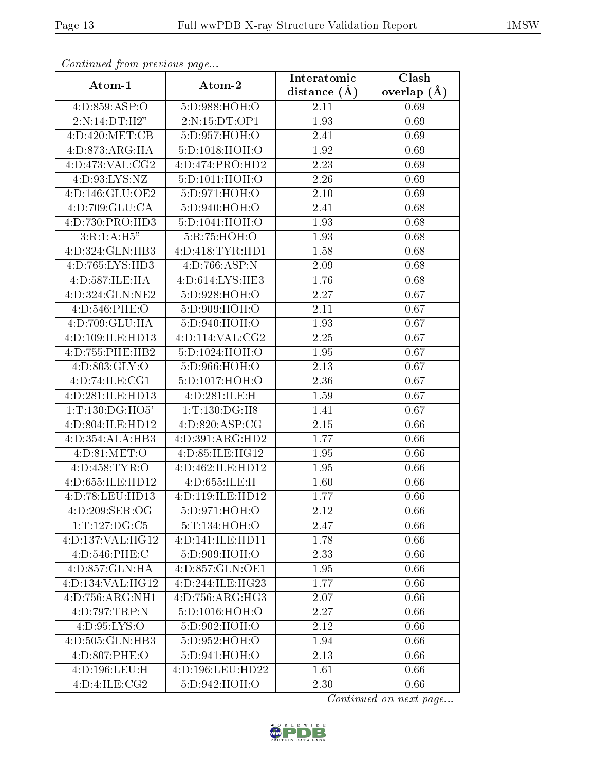| Conningea from previous page  |                     | Interatomic    | Clash           |
|-------------------------------|---------------------|----------------|-----------------|
| Atom-1                        | Atom-2              | distance $(A)$ | overlap $(\AA)$ |
| 4:D:859:ASP:O                 | 5:D:988:HOH:O       | 2.11           | 0.69            |
| 2:N:14:DT:H2"                 | 2:N:15:DT:OP1       | 1.93           | 0.69            |
| 4:D:420:MET:CB                | 5:D:957:HOH:O       | 2.41           | 0.69            |
| 4:D:873:ARG:HA                | 5:D:1018:HOH:O      | 1.92           | 0.69            |
| 4:D:473:VAL:CG2               | 4:D:474:PRO:HD2     | 2.23           | 0.69            |
| 4:D:93:LYS:NZ                 | 5:D:1011:HOH:O      | 2.26           | 0.69            |
| 4:D:146:GLU:OE2               | 5:D:971:HOH:O       | 2.10           | 0.69            |
| 4:D:709:GLU:CA                | 5:D:940:HOH:O       | 2.41           | 0.68            |
| 4:D:730:PRO:HD3               | 5:D:1041:HOH:O      | 1.93           | 0.68            |
| 3:R:1:A:H5"                   | 5:R:75:HOH:O        | 1.93           | 0.68            |
| 4:D:324:GLN:HB3               | 4:D:418:TYR:HDI     | 1.58           | 0.68            |
| 4:D:765:LYS:HD3               | 4: D: 766: ASP: N   | 2.09           | 0.68            |
| 4:D:587:ILE:HA                | 4:D:614:LYS:HE3     | 1.76           | 0.68            |
| 4:D:324:GLN:NE2               | 5:D:928:HOH:O       | 2.27           | 0.67            |
| 4:D:546:PHE:O                 | 5:D:909:HOH:O       | 2.11           | 0.67            |
| 4:D:709:GLU:HA                | 5:D:940:HOH:O       | 1.93           | 0.67            |
| 4:D:109:ILE:HD13              | 4: D: 114: VAL: CG2 | 2.25           | 0.67            |
| 4:D:755:PHE:HB2               | 5:D:1024:HOH:O      | 1.95           | 0.67            |
| 4:D:803:GLY:O                 | 5:D:966:HOH:O       | 2.13           | 0.67            |
| 4: D:74: ILE: CG1             | 5:D:1017:HOH:O      | 2.36           | 0.67            |
| 4:D:281:ILE:HD13              | 4:D:281:ILE:H       | 1.59           | 0.67            |
| 1: T: 130: DG: HO5'           | 1:T:130:DG:H8       | 1.41           | 0.67            |
| 4:D:804:ILE:HD12              | 4:D:820:ASP:CG      | 2.15           | 0.66            |
| 4:D:354:ALA:HB3               | 4:D:391:ARG:HD2     | 1.77           | 0.66            |
| 4: D:81: MET:O                | 4:D:85:ILE:HG12     | 1.95           | 0.66            |
| 4:D:458:TYR:O                 | 4:D:462:ILE:HD12    | 1.95           | 0.66            |
| 4:D:655:ILE:HD12              | 4:D:655:ILE:H       | 1.60           | 0.66            |
| 4:D:78:LEU:HD13               | 4:D:119:ILE:HD12    | 1.77           | 0.66            |
| 4:D:209:SER:OG                | 5:D:971:HOH:O       | 2.12           | 0.66            |
| 1:T:127:DG:C5                 | 5:T:134:HOH:O       | 2.47           | 0.66            |
| 4:D:137:VAL:HG12              | 4:D:141:ILE:HD11    | 1.78           | 0.66            |
| 4:D:546:PHE:C                 | 5:D:909:HOH:O       | 2.33           | 0.66            |
| 4:D:857:GLN:HA                | 4:D:857:GLN:OE1     | 1.95           | 0.66            |
| $4:D:134:V\overline{AL:HG12}$ | 4:D:244:ILE:HG23    | 1.77           | 0.66            |
| 4:D:756:ARG:NH1               | 4: D: 756: ARG: HG3 | 2.07           | 0.66            |
| 4:D:797:TRP:N                 | 5:D:1016:HOH:O      | 2.27           | 0.66            |
| 4: D:95: LYS:O                | 5:D:902:HOH:O       | 2.12           | 0.66            |
| 4:D:505:GLN:HB3               | 5:D:952:HOH:O       | 1.94           | 0.66            |
| 4:D:807:PHE:O                 | 5:D:941:HOH:O       | 2.13           | 0.66            |
| 4:D:196:LEU:H                 | 4:D:196:LEU:HD22    | 1.61           | 0.66            |
| 4:D:4:ILE:CG2                 | 5:D:942:HOH:O       | 2.30           | 0.66            |

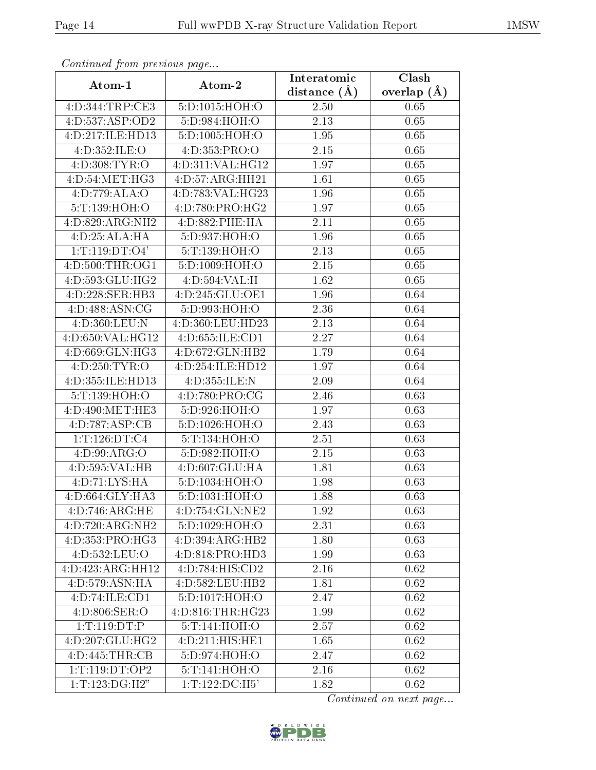| Continuum from proctowe pugo  |                    | Interatomic       | Clash           |
|-------------------------------|--------------------|-------------------|-----------------|
| Atom-1                        | Atom-2             | distance $(A)$    | overlap $(\AA)$ |
| 4:D:344:TRP:CE3               | 5:D:1015:HOH:O     | 2.50              | 0.65            |
| 4:D:537:ASP:OD2               | 5:D:984:HOH:O      | 2.13              | 0.65            |
| 4:D:217:ILE:HD13              | 5:D:1005:HOH:O     | 1.95              | 0.65            |
| 4:D:352:ILE:O                 | 4:D:353:PRO:O      | 2.15              | 0.65            |
| 4:D:308:TYR:O                 | 4:D:311:VAL:HG12   | 1.97              | 0.65            |
| 4:D:54:MET:HG3                | 4:D:57:ARG:HH21    | 1.61              | 0.65            |
| 4:D:779:ALA:O                 | 4:D:783:VAL:HG23   | $\overline{1.96}$ | 0.65            |
| 5: T: 139: HOH:O              | 4:D:780:PRO:HG2    | 1.97              | 0.65            |
| 4:D:829:ARG:NH2               | 4:D:882:PHE:HA     | 2.11              | 0.65            |
| 4:D:25:ALA:HA                 | 5:D:937:HOH:O      | 1.96              | 0.65            |
| 1: T: 119: DT: O4'            | 5:T:139:HOH:O      | 2.13              | 0.65            |
| 4: D:500: THR:OG1             | 5: D: 1009: HOH:O  | 2.15              | 0.65            |
| 4:D:593:GLU:HG2               | 4:D:594:VAL:H      | 1.62              | 0.65            |
| 4:D:228:SER:HB3               | 4:D:245:GLU:OE1    | 1.96              | 0.64            |
| 4:D:488:ASN:CG                | 5:D:993:HOH:O      | 2.36              | 0.64            |
| 4:D:360:LEU:N                 | 4:D:360:LEU:HD23   | 2.13              | 0.64            |
| 4:D:650:VAL:HG12              | 4:D:655:ILE:CD1    | 2.27              | 0.64            |
| 4:D:669:GLN:HG3               | 4:D:672:GLN:HB2    | 1.79              | 0.64            |
| 4:D:250:TYR:O                 | 4:D:254:ILE:HD12   | 1.97              | 0.64            |
| 4:D:355:ILE:HD13              | 4:D:355:ILE:N      | 2.09              | 0.64            |
| 5:T:139:HOH:O                 | 4:D:780:PRO:CG     | 2.46              | 0.63            |
| 4:D:490:MET:HE3               | 5:D:926:HOH:O      | 1.97              | 0.63            |
| 4:D:787:ASP:CB                | 5: D: 1026: HOH:O  | 2.43              | 0.63            |
| 1: T: 126: DT: C4             | 5:T:134:HOH:O      | 2.51              | 0.63            |
| 4: D:99: ARG:O                | 5:D:982:HOH:O      | 2.15              | 0.63            |
| 4:D:595:VAL:HB                | 4: D:607: GLU: HA  | 1.81              | 0.63            |
| 4:D:71:LYS:HA                 | 5:D:1034:HOH:O     | 1.98              | 0.63            |
| 4:D:664:GLY:HA3               | 5: D: 1031:HOH: O  | 1.88              | 0.63            |
| 4:D:746:ARG:HE                | 4:D:754:GLN:NE2    | 1.92              | 0.63            |
| 4:D:720:ARG:NH2               | 5:D:1029:HOH:O     | 2.31              | 0.63            |
| 4:D:353:PRO:HG3               | 4:D:394:ARG:HB2    | 1.80              | 0.63            |
| 4:D:532:LEU:O                 | 4:D:818:PRO:HD3    | 1.99              | 0.63            |
| 4:D:423:ARG:HH12              | 4:D:784:HIS:CD2    | 2.16              | 0.62            |
| 4:D:579:ASN:HA                | 4:D:582:LEU:HB2    | 1.81              | 0.62            |
| 4:D:74:ILE:CD1                | 5:D:1017:HOH:O     | 2.47              | 0.62            |
| 4: D:806: SER:O               | 4:D:816:THR:HG23   | 1.99              | 0.62            |
| 1:T:119:DT:P                  | 5: T: 141: HOH: O  | 2.57              | 0.62            |
| 4:D:207:GLU:HG2               | 4:D:211:HIS:HE1    | 1.65              | 0.62            |
| 4:D:445:THR:CB                | 5:D:974:HOH:O      | 2.47              | 0.62            |
| 1: T: 119: DT: OP2            | 5:T:141:HOH:O      | 2.16              | 0.62            |
| $1: T: \overline{123:DG:H2"}$ | 1: T: 122: DC: H5' | 1.82              | 0.62            |

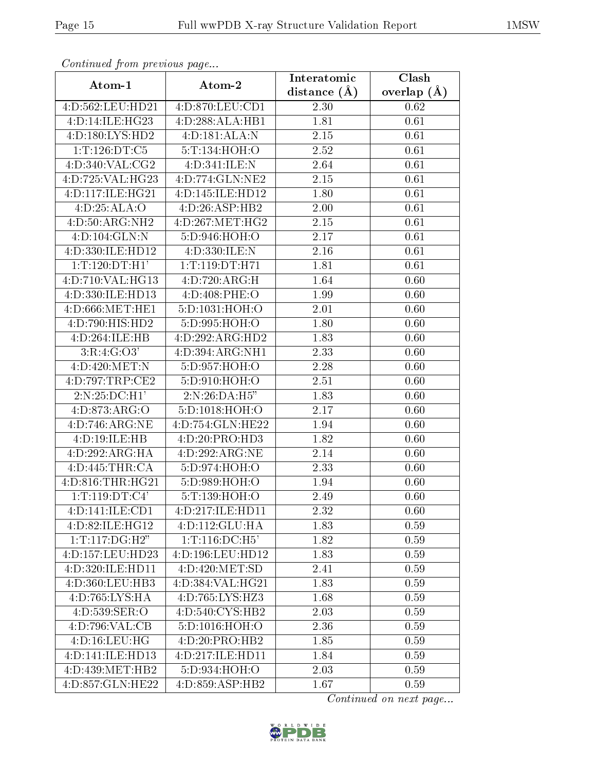| Continuea from previous page |                    | Interatomic       | Clash         |
|------------------------------|--------------------|-------------------|---------------|
| Atom-1                       | Atom-2             | distance $(\AA)$  | overlap $(A)$ |
| 4:D:562:LEU:HD21             | 4:D:870:LEU:CD1    | 2.30              | 0.62          |
| 4:D:14:ILE:HG23              | 4:D:288:ALA:HB1    | 1.81              | 0.61          |
| 4:D:180:LYS:HD2              | 4:D:181:ALA:N      | 2.15              | 0.61          |
| 1: T: 126: DT: C5            | 5:T:134:HOH:O      | 2.52              | 0.61          |
| 4:D:340:VAL:CG2              | 4:D:341:ILE:N      | 2.64              | 0.61          |
| 4:D:725:VAL:HG23             | 4:D:774:GLN:NE2    | $2.15\,$          | 0.61          |
| 4:D:117:ILE:HG21             | 4:D:145:ILE:HD12   | 1.80              | 0.61          |
| 4:D:25:ALA:O                 | 4:D:26:ASP:HB2     | 2.00              | 0.61          |
| 4:D:50:ARG:NH2               | 4:D:267:MET:HG2    | 2.15              | 0.61          |
| 4:D:104:GLN:N                | 5:D:946:HOH:O      | 2.17              | 0.61          |
| 4:D:330:ILE:HD12             | 4:D:330:ILE:N      | 2.16              | 0.61          |
| 1:T:120:DT:H1'               | 1:T:119:DT:H71     | 1.81              | 0.61          |
| 4:D:710:VAL:HG13             | 4:D:720:ARG:H      | 1.64              | 0.60          |
| 4:D:330:ILE:HD13             | 4:D:408:PHE:O      | 1.99              | 0.60          |
| 4:D:666:MET:HE1              | 5:D:1031:HOH:O     | 2.01              | 0.60          |
| $4:D:790:HIS:H\overline{D2}$ | 5:D:995:HOH:O      | 1.80              | 0.60          |
| 4:D:264:ILE:HB               | 4:D:292:ARG:HD2    | 1.83              | 0.60          |
| 3:R:4:G:O3'                  | 4:D:394:ARG:NH1    | 2.33              | 0.60          |
| 4:D:420:MET:N                | 5:D:957:HOH:O      | 2.28              | 0.60          |
| 4:D:797:TRP:CE2              | 5:D:910:HOH:O      | 2.51              | 0.60          |
| 2:N:25:DC:H1'                | 2:N:26:DA:H5"      | 1.83              | 0.60          |
| 4: D:873: ARG: O             | 5:D:1018:HOH:O     | 2.17              | 0.60          |
| 4:D:746:ARG:NE               | 4:D:754:GLN:HE22   | 1.94              | 0.60          |
| 4:D:19:ILE:HB                | 4:D:20:PRO:HD3     | 1.82              | 0.60          |
| 4:D:292:ARG:HA               | 4:D:292:ARG:NE     | 2.14              | 0.60          |
| 4:D:445:THR:CA               | 5:D:974:HOH:O      | $\overline{2}.33$ | 0.60          |
| 4:D:816:THR:HG21             | 5:D:989:HOH:O      | 1.94              | 0.60          |
| 1: T: 119: DT: C4'           | 5:T:139:HOH:O      | 2.49              | 0.60          |
| 4:D:141:ILE:CD1              | 4:D:217:ILE:HD11   | 2.32              | 0.60          |
| 4: D:82: ILE: HG12           | 4:D:112:GLU:HA     | 1.83              | 0.59          |
| 1: T: 117: DG:H2"            | 1: T: 116: DC: H5' | 1.82              | 0.59          |
| 4:D:157:LEU:HD23             | 4:D:196:LEU:HD12   | 1.83              | 0.59          |
| 4:D:320:ILE:HD11             | 4:D:420:MET:SD     | 2.41              | 0.59          |
| 4:D:360:LEU:HB3              | 4:D:384:VAL:HG21   | 1.83              | 0.59          |
| 4:D:765:LYS:HA               | 4:D:765:LYS:HZ3    | 1.68              | 0.59          |
| 4:D:539:SER:O                | 4:D:540:CYS:HB2    | 2.03              | 0.59          |
| 4:D:796:VAL:CB               | 5:D:1016:HOH:O     | 2.36              | 0.59          |
| 4: D: 16: LEU: HG            | 4:D:20:PRO:HB2     | 1.85              | 0.59          |
| 4:D:141:ILE:HD13             | 4:D:217:ILE:HD11   | 1.84              | 0.59          |
| 4:D:439:MET:HB2              | 5:D:934:HOH:O      | 2.03              | 0.59          |
| 4:D:857:GLN:HE22             | 4:D:859:ASP:HB2    | 1.67              | 0.59          |

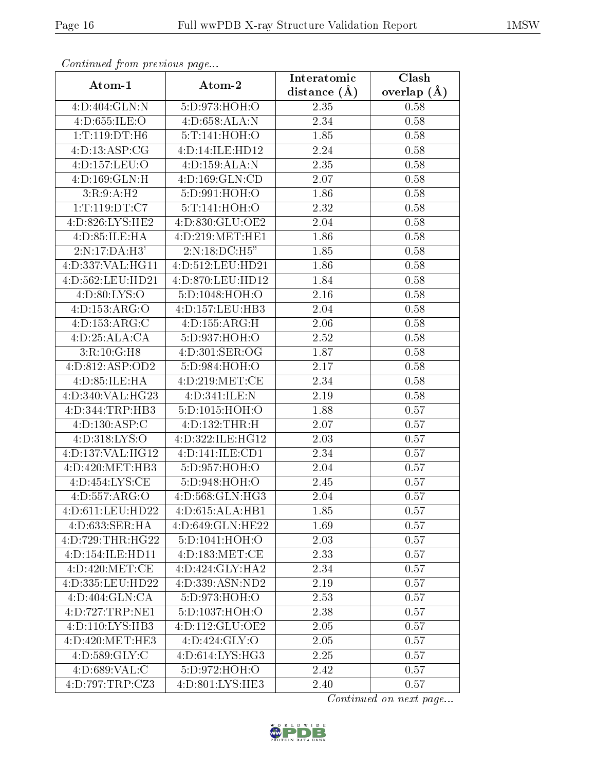| Comunaca jiom previous page |                    | Interatomic    | Clash           |
|-----------------------------|--------------------|----------------|-----------------|
| Atom-1                      | Atom-2             | distance $(A)$ | overlap $(\AA)$ |
| 4:D:404:GLN:N               | 5:D:973:HOH:O      | 2.35           | 0.58            |
| 4:D:655:ILE:O               | 4:D:658:ALA:N      | 2.34           | 0.58            |
| 1:T:119:DT:H6               | 5:T:141:HOH:O      | 1.85           | 0.58            |
| 4: D: 13: ASP: CG           | 4:D:14:ILE:HD12    | 2.24           | 0.58            |
| 4:D:157:LEU:O               | 4:D:159:ALA:N      | 2.35           | 0.58            |
| 4:D:169:GLN:H               | 4:D:169:GLN:CD     | 2.07           | 0.58            |
| 3:R:9:A:H2                  | 5:D:991:HOH:O      | 1.86           | 0.58            |
| 1: T: 119: DT: C7           | 5: T: 141: HOH: O  | 2.32           | 0.58            |
| 4:D:826:LYS:HE2             | 4:D:830:GLU:OE2    | 2.04           | 0.58            |
| 4: D:85: ILE: HA            | 4:D:219:MET:HE1    | 1.86           | 0.58            |
| 2:N:17:DA:H3'               | 2:N:18:DC:H5"      | 1.85           | 0.58            |
| 4: D: 337: VAL: HG11        | 4:D:512:LEU:HD21   | 1.86           | 0.58            |
| 4:D:562:LEU:HD21            | 4:D:870:LEU:HD12   | 1.84           | 0.58            |
| 4:D:80:LYS:O                | 5:D:1048:HOH:O     | 2.16           | 0.58            |
| 4:D:153:ARG:O               | 4:D:157:LEU:HB3    | 2.04           | 0.58            |
| 4:D:153:ARG:C               | 4:D:155:ARG:H      | 2.06           | 0.58            |
| 4:D:25:ALA:CA               | 5:D:937:HOH:O      | 2.52           | 0.58            |
| 3:R:10:G:H8                 | 4:D:301:SER:OG     | 1.87           | 0.58            |
| 4:D:812:ASP:OD2             | 5:D:984:HOH:O      | 2.17           | 0.58            |
| 4: D:85: ILE: HA            | 4:D:219:MET:CE     | 2.34           | 0.58            |
| 4:D:340:VAL:HG23            | 4:D:341:ILE:N      | 2.19           | 0.58            |
| 4: D: 344: TRP: HB3         | 5:D:1015:HOH:O     | 1.88           | 0.57            |
| 4:D:130:ASP:C               | 4:D:132:THR:H      | 2.07           | 0.57            |
| 4:D:318:LYS:O               | 4:D:322:ILE:HG12   | 2.03           | 0.57            |
| 4:D:137:VAL:HG12            | 4:D:141:ILE:CD1    | 2.34           | 0.57            |
| 4:D:420:MET:HB3             | 5:D:957:HOH:O      | 2.04           | 0.57            |
| 4: D: 454: LYS: CE          | 5:D:948:HOH:O      | 2.45           | 0.57            |
| 4:D:557:ARG:O               | 4:D:568:GLN:HG3    | 2.04           | 0.57            |
| 4:D:611:LEU:HD22            | 4: D:615: ALA: HB1 | 1.85           | 0.57            |
| 4:D:633:SER:HA              | 4:D:649:GLN:HE22   | 1.69           | 0.57            |
| 4:D:729:THR:HG22            | 5:D:1041:HOH:O     | 2.03           | 0.57            |
| 4:D:154:ILE:HD11            | 4:D:183:MET:CE     | 2.33           | 0.57            |
| 4:D:420:MET:CE              | 4:D:424:GLY:HA2    | 2.34           | 0.57            |
| 4:D:335:LEU:HD22            | 4:D:339:ASN:ND2    | 2.19           | 0.57            |
| 4:D:404:GLN:CA              | 5:D:973:HOH:O      | 2.53           | 0.57            |
| 4:D:727:TRP:NE1             | 5:D:1037:HOH:O     | 2.38           | 0.57            |
| 4:D:110:LYS:HB3             | 4:D:112:GLU:OE2    | 2.05           | 0.57            |
| 4:D:420:MET:HE3             | 4: D:424: GLY:O    | 2.05           | 0.57            |
| 4: D:589: GLY: C            | 4:D:614:LYS:HG3    | 2.25           | 0.57            |
| 4: D:689: VAL:C             | 5:D:972:HOH:O      | 2.42           | 0.57            |
| 4:D:797:TRP:CZ3             | 4:D:801:LYS:HE3    | 2.40           | 0.57            |

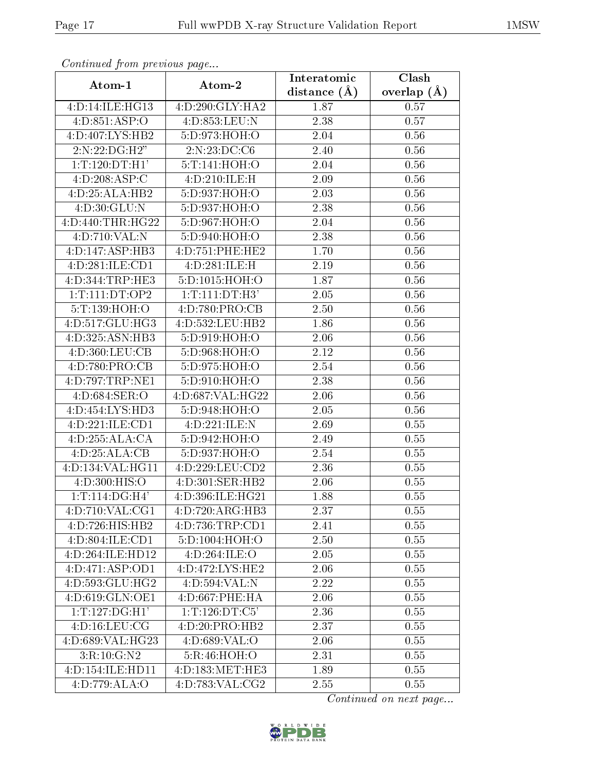| Commaca jibin previous page |                            | Interatomic       | Clash         |
|-----------------------------|----------------------------|-------------------|---------------|
| Atom-1                      | Atom-2                     | distance $(A)$    | overlap $(A)$ |
| 4:D:14:ILE:HG13             | 4:D:290:GLY:HA2            | 1.87              | 0.57          |
| 4:D:851:ASP:O               | 4: D: 853: LEU: N          | 2.38              | 0.57          |
| 4:D:407:LYS:HB2             | 5:D:973:HOH:O              | 2.04              | 0.56          |
| 2:N:22:DG:H2"               | 2:N:23:DC:C6               | 2.40              | 0.56          |
| 1: T: 120: DT:H1'           | 5:T:141:HOH:O              | 2.04              | 0.56          |
| 4:D:208:ASP:C               | 4:D:210:ILE:H              | 2.09              | 0.56          |
| 4:D:25:ALA:HB2              | 5:D:937:HOH:O              | 2.03              | 0.56          |
| 4:D:30:GLU:N                | 5:D:937:HOH:O              | 2.38              | 0.56          |
| 4:D:440:THR:HG22            | 5:D:967:HOH:O              | 2.04              | 0.56          |
| 4:D:710:VAL:N               | 5:D:940:HOH:O              | 2.38              | 0.56          |
| 4:D:147:ASP:HB3             | 4:D:751:PHE:HE2            | 1.70              | 0.56          |
| 4:D:281:ILE:CD1             | 4:D:281:ILE:H              | $\overline{2.19}$ | 0.56          |
| 4:D:344:TRP:HE3             | 5:D:1015:HOH:O             | 1.87              | 0.56          |
| 1: T: 111: DT: OP2          | 1: T: 111: DT: H3'         | 2.05              | 0.56          |
| 5:T:139:HOH:O               | 4:D:780:PRO:CB             | 2.50              | 0.56          |
| 4:D:517:GLU:HG3             | 4: D: 532: LEU: HB2        | 1.86              | 0.56          |
| 4:D:325:ASN:HB3             | 5:D:919:HOH:O              | 2.06              | 0.56          |
| 4:D:360:LEU:CB              | 5:D:968:HOH:O              | 2.12              | 0.56          |
| 4:D:780:PRO:CB              | 5:D:975:HOH:O              | 2.54              | 0.56          |
| 4:D:797:TRP:NE1             | 5:D:910:HOH:O              | 2.38              | 0.56          |
| 4:D:684:SER:O               | 4:D:687:VAL:HG22           | 2.06              | 0.56          |
| 4:D:454:LYS:HD3             | 5:D:948:HOH:O              | 2.05              | 0.56          |
| 4:D:221:ILE:CD1             | $4:D:221:ILE:\overline{N}$ | 2.69              | 0.55          |
| 4:D:255:ALA:CA              | 5:D:942:HOH:O              | 2.49              | 0.55          |
| 4:D:25:ALA:CB               | 5:D:937:HOH:O              | 2.54              | 0.55          |
| 4:D:134:VAL:HG11            | 4:D:229:LEU:CD2            | 2.36              | 0.55          |
| 4:D:300:HIS:O               | 4:D:301:SER:HB2            | 2.06              | 0.55          |
| 1:T:114:DG:H4'              | 4:D:396:ILE:HG21           | 1.88              | 0.55          |
| 4:D:710:VAL:CG1             | 4:D:720:ARG:HB3            | 2.37              | 0.55          |
| 4:D:726:HIS:HB2             | 4:D:736:TRP:CD1            | 2.41              | 0.55          |
| 4:D:804:ILE:CD1             | 5:D:1004:HOH:O             | 2.50              | 0.55          |
| 4:D:264:ILE:HD12            | 4:D:264:ILE:O              | 2.05              | 0.55          |
| 4:D:471:ASP:OD1             | 4:D:472:LYS:HE2            | 2.06              | 0.55          |
| 4:D:593:GLU:HG2             | 4:D:594:VAL:N              | 2.22              | 0.55          |
| 4:D:619:GLN:OE1             | 4: D:667: PHE: HA          | 2.06              | 0.55          |
| 1:T:127:DG:H1'              | 1:T:126:DT:C5'             | 2.36              | 0.55          |
| 4: D: 16: LEU: CG           | 4:D:20:PRO:HB2             | 2.37              | 0.55          |
| 4:D:689:VAL:HG23            | 4:D:689:VAL:O              | 2.06              | 0.55          |
| 3:R:10:G:N2                 | 5:R:46:HOH:O               | 2.31              | 0.55          |
| 4:D:154:ILE:HD11            | 4:D:183:MET:HE3            | 1.89              | 0.55          |
| 4:D:779:ALA:O               | 4:D:783:VAL:CG2            | 2.55              | 0.55          |

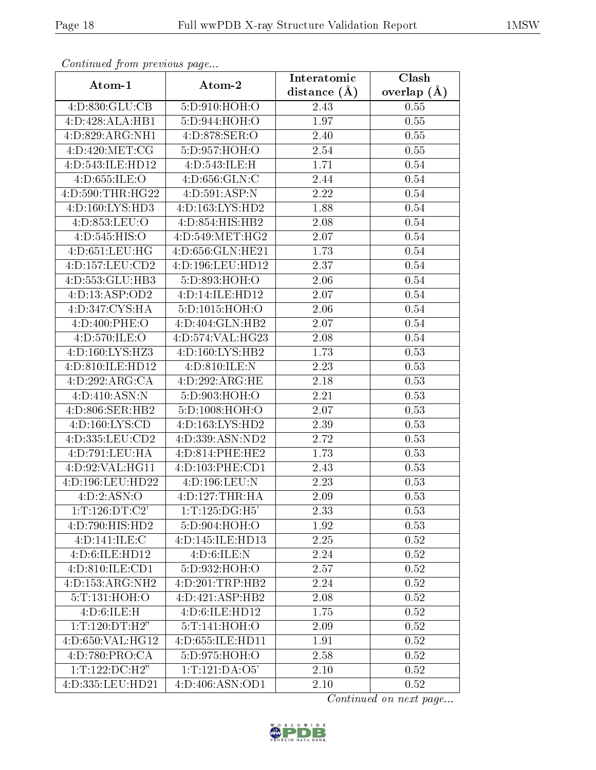| Continuea from previous page |                              | Interatomic       | Clash           |
|------------------------------|------------------------------|-------------------|-----------------|
| Atom-1                       | Atom-2                       | distance $(A)$    | overlap $(\AA)$ |
| 4:D:830:GLU:CB               | 5:D:910:HOH:O                | 2.43              | 0.55            |
| 4:D:428:ALA:HB1              | 5:D:944:HOH:O                | 1.97              | 0.55            |
| 4:D:829:ARG:NH1              | 4:D:878:SER:O                | 2.40              | 0.55            |
| 4:D:420:MET:CG               | 5:D:957:HOH:O                | 2.54              | 0.55            |
| 4:D:543:ILE:HD12             | 4:D:543:ILE:H                | 1.71              | 0.54            |
| 4:D:655:ILE:O                | 4: D:656: GLN: C             | 2.44              | 0.54            |
| 4:D:590:THR:HG22             | 4:D:591:ASP:N                | 2.22              | 0.54            |
| 4:D:160:LYS:HD3              | 4:D:163:LYS:HD2              | 1.88              | 0.54            |
| 4:D:853:LEU:O                | 4:D:854:HIS:HB2              | 2.08              | 0.54            |
| 4:D:545:HIS:O                | 4:D:549:MET:HG2              | 2.07              | 0.54            |
| 4:D:651:LEU:HG               | 4:D:656:GLN:HE21             | 1.73              | $0.54\,$        |
| 4:D:157:LEU:CD2              | 4:D:196:LEU:HD12             | $\overline{2.37}$ | 0.54            |
| 4:D:553:GLU:HB3              | 5:D:893:HOH:O                | 2.06              | 0.54            |
| 4:D:13:ASP:OD2               | 4:D:14:ILE:HD12              | 2.07              | 0.54            |
| 4:D:347:CYS:HA               | 5:D:1015:HOH:O               | 2.06              | 0.54            |
| 4:D:400:PHE:O                | 4:D:404:GLN:HB2              | 2.07              | 0.54            |
| 4:D:570:ILE:O                | 4:D:574:VAL:HG23             | 2.08              | 0.54            |
| 4:D:160:LYS:HZ3              | 4:D:160:LYS:HB2              | 1.73              | 0.53            |
| 4:D:810:ILE:HD12             | 4:D:810:ILE:N                | 2.23              | 0.53            |
| 4:D:292:ARG:CA               | 4:D:292:ARG:HE               | 2.18              | 0.53            |
| 4:D:410:ASN:N                | $5: D:903: \overline{HOH:O}$ | 2.21              | 0.53            |
| 4:D:806:SER:HB2              | 5: D: 1008: HOH:O            | 2.07              | 0.53            |
| 4:D:160:LYS:CD               | 4:D:163:LYS:HD2              | 2.39              | 0.53            |
| 4:D:335:LEU:CD2              | 4:D:339:ASN:ND2              | 2.72              | 0.53            |
| 4:D:791:LEU:HA               | 4:D:814:PHE:HE2              | 1.73              | 0.53            |
| 4:D:92:VAL:HG11              | 4:D:103:PHE:CD1              | 2.43              | 0.53            |
| 4:D:196:LEU:HD22             | 4:D:196:LEU:N                | 2.23              | 0.53            |
| 4:D:2:ASN:O                  | 4:D:127:THR:HA               | 2.09              | 0.53            |
| 1: T: 126: DT: C2'           | 1: T: 125: DG:H5'            | 2.33              | 0.53            |
| 4:D:790:HIS:HD2              | 5:D:904:HOH:O                | 1.92              | 0.53            |
| 4:D:141:ILE:C                | 4:D:145:ILE:HD13             | 2.25              | 0.52            |
| 4:D:6:ILE:HD12               | 4:D:6:ILE:N                  | 2.24              | 0.52            |
| 4:D:810:ILE:CD1              | 5:D:932:HOH:O                | 2.57              | 0.52            |
| 4:D:153:ARG:NH2              | 4:D:201:TRP:HB2              | 2.24              | 0.52            |
| 5: T: 131: HOH: O            | 4:D:421:ASP:HB2              | 2.08              | 0.52            |
| 4: D:6: ILE:H                | 4:D:6:ILE:HD12               | 1.75              | 0.52            |
| 1: T: 120: DT:H2"            | 5:T:141:HOH:O                | 2.09              | 0.52            |
| 4:D:650:VAL:HG12             | 4:D:655:ILE:HD11             | 1.91              | 0.52            |
| 4:D:780:PRO:CA               | 5:D:975:HOH:O                | 2.58              | 0.52            |
| 1: T: 122: DC: H2"           | 1:T:121:DA:O5'               | 2.10              | 0.52            |
| 4:D:335:LEU:HD21             | 4:D:406:ASN:OD1              | 2.10              | 0.52            |

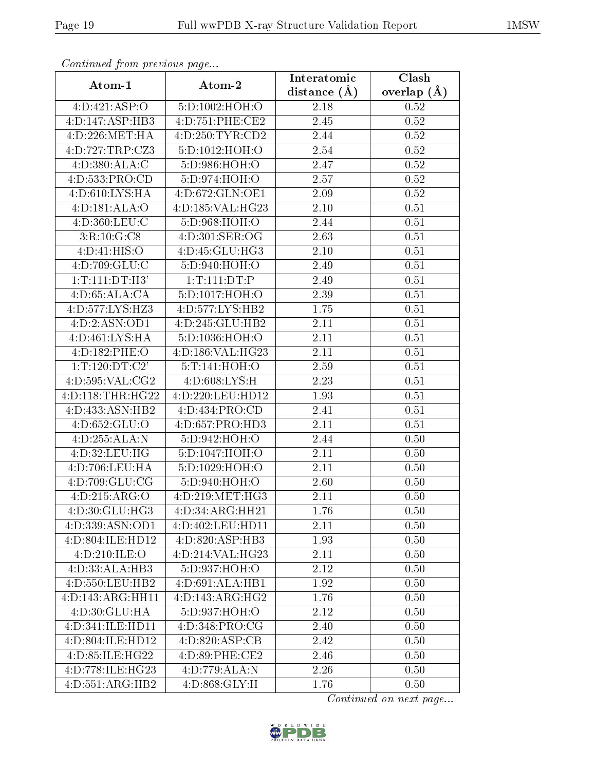| Continuati pont previous page |                              | Interatomic      | Clash           |
|-------------------------------|------------------------------|------------------|-----------------|
| Atom-1                        | Atom-2                       | distance $(\AA)$ | overlap $(\AA)$ |
| 4:D:421:ASP:O                 | 5:D:1002:HOH:O               | 2.18             | 0.52            |
| 4:D:147:ASP:HB3               | 4:D:751:PHE:CE2              | 2.45             | 0.52            |
| 4:D:226:MET:HA                | 4:D:250:TYR:CD2              | 2.44             | 0.52            |
| 4:D:727:TRP:CZ3               | 5:D:1012:HOH:O               | 2.54             | 0.52            |
| 4: D: 380: ALA:C              | 5:D:986:HOH:O                | 2.47             | 0.52            |
| 4:D:533:PRO:CD                | 5:D:974:HOH:O                | 2.57             | 0.52            |
| 4:D:610:LYS:HA                | 4:D:672:GLN:OE1              | 2.09             | $0.52\,$        |
| 4: D: 181: ALA: O             | 4:D:185:VAL:HG23             | 2.10             | 0.51            |
| 4:D:360:LEU:C                 | 5:D:968:HOH:O                | 2.44             | 0.51            |
| 3:R:10:G:CS                   | 4:D:301:SER:OG               | 2.63             | 0.51            |
| 4:D:41:HIS:O                  | 4:D:45:GLU:HG3               | 2.10             | 0.51            |
| 4:D:709:GLU:C                 | 5:D:940:HOH:O                | 2.49             | 0.51            |
| 1: T: 111: DT: H3'            | 1: T: 111: DT:P              | 2.49             | 0.51            |
| 4:D:65:ALA:CA                 | 5:D:1017:HOH:O               | 2.39             | 0.51            |
| 4:D:577:LYS:HZ3               | 4:D:577:LYS:HB2              | 1.75             | 0.51            |
| 4:D:2:ASN:OD1                 | 4:D:245:GLU:HB2              | 2.11             | 0.51            |
| 4:D:461:LYS:HA                | 5:D:1036:HOH:O               | 2.11             | 0.51            |
| 4:D:182:PHE:O                 | 4:D:186:VAL:HG23             | 2.11             | 0.51            |
| 1:T:120:DT:C2'                | 5:T:141:HOH:O                | 2.59             | 0.51            |
| 4:D:595:VAL:CG2               | 4: D:608: LYS:H              | 2.23             | 0.51            |
| 4:D:118:THR:HG22              | 4:D:220:LEU:HD12             | 1.93             | 0.51            |
| 4:D:433:ASN:HB2               | 4:D:434:PRO:CD               | 2.41             | 0.51            |
| 4: D:652: GLU:O               | 4:D:657:PRO:HD3              | 2.11             | 0.51            |
| 4:D:255:ALA:N                 | 5:D:942:HOH:O                | 2.44             | 0.50            |
| 4:D:32:LEU:HG                 | $5: D: 1047$ :HOH:O          | 2.11             | 0.50            |
| 4:D:706:LEU:HA                | 5: D: 1029: HOH:O            | 2.11             | 0.50            |
| 4:D:709:GLU:CG                | 5:D:940:HOH:O                | 2.60             | 0.50            |
| 4:D:215:ARG:O                 | 4:D:219:MET:HG3              | 2.11             | 0.50            |
| 4:D:30:GLU:HG3                | 4:D:34:ARG:HH21              | 1.76             | 0.50            |
| 4:D:339:ASN:OD1               | 4:D:402:LEU:HD11             | 2.11             | 0.50            |
| 4:D:804:ILE:HD12              | 4:D:820:ASP:HB3              | 1.93             | 0.50            |
| 4:D:210:ILE:O                 | 4:D:214:VAL:HG23             | 2.11             | 0.50            |
| 4:D:33:ALA:HB3                | 5:D:937:HOH:O                | 2.12             | 0.50            |
| 4:D:550:LEU:HB2               | 4:D:691:ALA:HB1              | 1.92             | 0.50            |
| 4:D:143:ARG:HH11              | $\overline{4:}D:143:ARG:HG2$ | 1.76             | 0.50            |
| 4:D:30:GLU:HA                 | 5:D:937:HOH:O                | 2.12             | 0.50            |
| 4:D:341:ILE:HD11              | 4:D:348:PRO:CG               | 2.40             | 0.50            |
| 4:D:804:ILE:HD12              | 4:D:820:ASP:CB               | 2.42             | 0.50            |
| 4:D:85:ILE:HG22               | 4:D:89:PHE:CE2               | 2.46             | 0.50            |
| 4:D:778:ILE:HG23              | 4:D:779:ALA:N                | 2.26             | 0.50            |
| 4:D:551:ARG:HB2               | 4:D:868:GLY:H                | 1.76             | 0.50            |

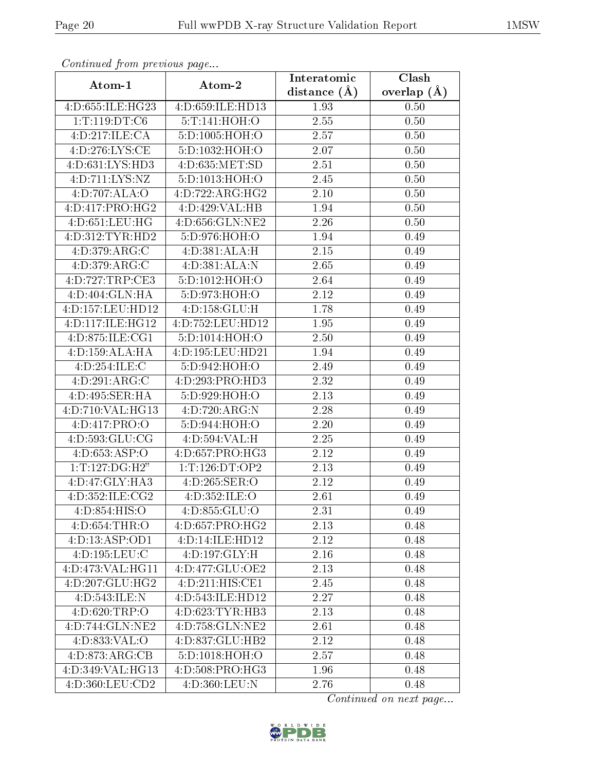| Commuca from previous page  |                    | Interatomic       | Clash         |
|-----------------------------|--------------------|-------------------|---------------|
| Atom-1                      | Atom-2             | distance $(A)$    | overlap $(A)$ |
| 4:D:655:ILE:HG23            | 4:D:659:ILE:HD13   | 1.93              | 0.50          |
| 1: T: 119: DT: C6           | 5:T:141:HOH:O      | 2.55              | 0.50          |
| 4:D:217:ILE:CA              | 5:D:1005:HOH:O     | 2.57              | 0.50          |
| 4:D:276:LYS:CE              | 5:D:1032:HOH:O     | 2.07              | 0.50          |
| 4:D:631:LYS:HD3             | 4: D: 635: MET: SD | 2.51              | 0.50          |
| 4:D:711:LYS:NZ              | 5:D:1013:HOH:O     | 2.45              | 0.50          |
| 4:D:707:ALA:O               | 4:D:722:ARG:HG2    | 2.10              | 0.50          |
| 4:D:417:PRO:HG2             | 4:D:429:VAL:HB     | 1.94              | 0.50          |
| 4:D:651:LEU:HG              | 4:D:656:GLN:NE2    | 2.26              | 0.50          |
| 4:D:312:TYR:HD2             | 5:D:976:HOH:O      | 1.94              | 0.49          |
| 4:D:379:ARG:C               | 4:D:381:ALA:H      | 2.15              | 0.49          |
| $4:D:379: \overline{ARG:C}$ | 4:D:381:ALA:N      | 2.65              | 0.49          |
| 4:D:727:TRP:CE3             | 5:D:1012:HOH:O     | 2.64              | 0.49          |
| 4:D:404:GLN:HA              | 5:D:973:HOH:O      | 2.12              | 0.49          |
| 4:D:157:LEU:HD12            | 4:D:158:GLU:H      | 1.78              | 0.49          |
| 4:D:117:ILE:HG12            | 4:D:752:LEU:HD12   | 1.95              | 0.49          |
| 4:D:875:ILE:CG1             | 5:D:1014:HOH:O     | 2.50              | 0.49          |
| 4: D: 159: ALA: HA          | 4:D:195:LEU:HD21   | 1.94              | 0.49          |
| 4:D:254:ILE:C               | 5:D:942:HOH:O      | 2.49              | 0.49          |
| 4:D:291:ARG:C               | 4:D:293:PRO:HD3    | 2.32              | 0.49          |
| 4:D:495:SER:HA              | 5:D:929:HOH:O      | 2.13              | 0.49          |
| 4:D:710:VAL:HG13            | 4:D:720:ARG:N      | 2.28              | 0.49          |
| 4:D:417:PRO:O               | 5:D:944:HOH:O      | 2.20              | 0.49          |
| 4:D:593:GLU:CG              | 4:D:594:VAL:H      | 2.25              | 0.49          |
| 4: D: 653: ASP: O           | 4:D:657:PRO:HG3    | 2.12              | 0.49          |
| $1:T:\overline{127:DG:H2"}$ | 1:T:126:DT:OP2     | $\overline{2}.13$ | 0.49          |
| 4:D:47:GLY:HA3              | 4:D:265:SER:O      | 2.12              | 0.49          |
| 4:D:352:ILE:CG2             | 4: D: 352: ILE: O  | 2.61              | 0.49          |
| 4:D:854:HIS:O               | 4:D:855:GLU:O      | 2.31              | 0.49          |
| 4: D:654:THR:O              | 4: D: 657: PRO:HG2 | 2.13              | 0.48          |
| 4:D:13:ASP:OD1              | 4:D:14:ILE:HD12    | 2.12              | 0.48          |
| 4:D:195:LEU:C               | 4:D:197:GLY:H      | 2.16              | 0.48          |
| 4:D:473:VAL:HG11            | 4:D:477:GLU:OE2    | 2.13              | 0.48          |
| 4:D:207:GLU:HG2             | 4:D:211:HIS:CE1    | 2.45              | 0.48          |
| 4:D:543:ILE:N               | 4:D:543:ILE:HD12   | 2.27              | 0.48          |
| 4:D:620:TRP:O               | 4:D:623:TYR:HB3    | 2.13              | 0.48          |
| 4:D:744:GLN:NE2             | 4:D:758:GLN:NE2    | 2.61              | 0.48          |
| 4:D:833:VAL:O               | 4:D:837:GLU:HB2    | $\overline{2.12}$ | 0.48          |
| 4:D:873:ARG:CB              | 5:D:1018:HOH:O     | 2.57              | 0.48          |
| 4:D:349:VAL:HG13            | 4: D:508: PRO:HG3  | 1.96              | 0.48          |
| 4:D:360:LEU:CD2             | 4:D:360:LEU:N      | 2.76              | 0.48          |

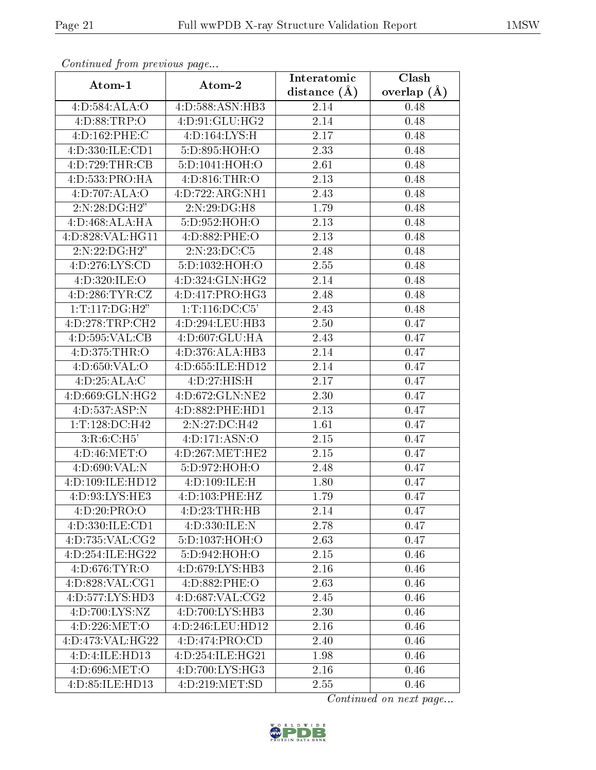| Continuea from previous page       |                     | Interatomic      | Clash         |
|------------------------------------|---------------------|------------------|---------------|
| Atom-1                             | Atom-2              | distance $(\AA)$ | overlap $(A)$ |
| 4:D:584:ALA:O                      | 4:D:588:ASN:HB3     | 2.14             | 0.48          |
| 4:D:88:TRP:O                       | 4:D:91:GLU:HG2      | 2.14             | 0.48          |
| 4:D:162:PHE:C                      | 4:D:164:LYS:H       | 2.17             | 0.48          |
| 4:D:330:ILE:CD1                    | 5:D:895:HOH:O       | 2.33             | 0.48          |
| 4:D:729:THR:CB                     | 5:D:1041:HOH:O      | 2.61             | 0.48          |
| 4:D:533:PRO:HA                     | 4: D:816: THR:O     | 2.13             | 0.48          |
| 4:D:707:ALA:O                      | 4:D:722:ARG:NH1     | 2.43             | 0.48          |
| $2:\!N:28:\!DG:\!H2"$              | 2:N:29:DG:H8        | 1.79             | 0.48          |
| 4: D: 468: ALA: HA                 | 5: D: 952: HOH:O    | 2.13             | 0.48          |
| 4:D:828:VAL:HG11                   | 4:D:882:PHE:O       | 2.13             | 0.48          |
| $2:\N:22:\D G:\H 2"$               | 2:N:23:DC:C5        | 2.48             | 0.48          |
| 4:D:276:LYS:CD                     | 5:D:1032:HOH:O      | 2.55             | 0.48          |
| 4:D:320:ILE:O                      | 4:D:324:GLN:HG2     | 2.14             | 0.48          |
| 4:D:286:TYR:CZ                     | 4:D:417:PRO:HG3     | 2.48             | 0.48          |
| $1: T:117:DG: \overline{H2''}$     | 1: T: 116: DC: C5'  | 2.43             | 0.48          |
| 4:D:278:TRP:CH2                    | 4:D:294:LEU:HB3     | 2.50             | 0.47          |
| 4: D: 595: VAL: CB                 | 4:D:607:GLU:HA      | 2.43             | 0.47          |
| 4:D:375:THR:O                      | 4:D:376:ALA:HB3     | 2.14             | 0.47          |
| 4:D:650:VAL:O                      | 4:D:655:ILE:HD12    | 2.14             | 0.47          |
| 4:D:25:ALA:C                       | 4:D:27:HIS:H        | 2.17             | 0.47          |
| 4:D:669:GLN:HG2                    | 4:D:672:GLN:NE2     | 2.30             | 0.47          |
| 4:D:537:ASP:N                      | 4:D:882:PHE:HD1     | 2.13             | 0.47          |
| 1:T:128:DC:H42                     | 2:N:27:DC:H42       | 1.61             | 0.47          |
| 3:R:6:C:H5'                        | 4:D:171:ASN:O       | 2.15             | 0.47          |
| 4:D:46:MET:O                       | 4:D:267:MET:HE2     | 2.15             | 0.47          |
| 4:D:690:VAL:N                      | 5:D:972:HOH:O       | 2.48             | 0.47          |
| 4:D:109:ILE:HD12                   | 4:D:109:ILE:H       | 1.80             | 0.47          |
| 4:D:93:LYS:HE3                     | 4:D:103:PHE:HZ      | 1.79             | 0.47          |
| 4:D:20:PRO:O                       | 4:D:23:THR:HB       | 2.14             | 0.47          |
| 4:D:330:ILE:CD1                    | 4:D:330:ILE:N       | 2.78             | 0.47          |
| 4:D:735:VAL:CG2                    | 5:D:1037:HOH:O      | 2.63             | 0.47          |
| 4:D:254:ILE:HG22                   | 5:D:942:HOH:O       | 2.15             | 0.46          |
| 4:D:676:TYR:O                      | 4:D:679:LYS:HB3     | 2.16             | 0.46          |
| 4:D:828:VAL:CG1                    | 4:D:882:PHE:O       | 2.63             | 0.46          |
| 4:D:577:LYS:HD3                    | 4: D: 687: VAL: CG2 | 2.45             | 0.46          |
| $4:D:700:\overline{\text{LYS:NZ}}$ | 4:D:700:LYS:HB3     | 2.30             | 0.46          |
| 4:D:226:MET:O                      | 4:D:246:LEU:HD12    | 2.16             | 0.46          |
| 4:D:473:VAL:HG22                   | 4:D:474:PRO:CD      | 2.40             | 0.46          |
| 4:D:4:ILE:HD13                     | 4:D:254:ILE:HG21    | 1.98             | 0.46          |
| 4:D:696:MET:O                      | 4:D:700:LYS:HG3     | 2.16             | 0.46          |
| 4:D:85:ILE:HD13                    | 4:D:219:MET:SD      | 2.55             | 0.46          |

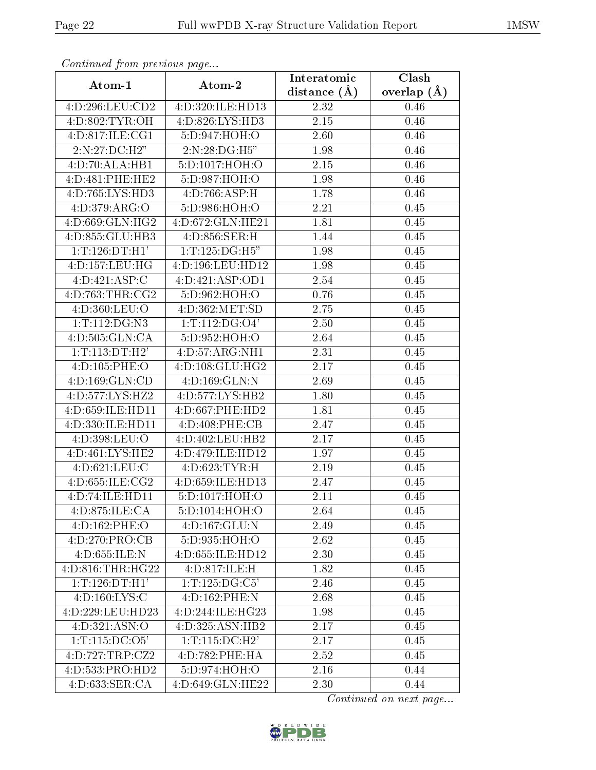| Conningea from previous page         |                    | Interatomic    | Clash           |
|--------------------------------------|--------------------|----------------|-----------------|
| Atom-1                               | Atom-2             | distance $(A)$ | overlap $(\AA)$ |
| 4:D:296:LEU:CD2                      | 4:D:320:ILE:HD13   | 2.32           | 0.46            |
| 4: D:802: TYR: OH                    | 4:D:826:LYS:HD3    | 2.15           | 0.46            |
| 4:D:817:ILE:CG1                      | 5:D:947:HOH:O      | 2.60           | 0.46            |
| 2:N:27:DC:H2"                        | 2:N:28:DG:H5"      | 1.98           | 0.46            |
| 4:D:70:ALA:HB1                       | 5:D:1017:HOH:O     | $2.15\,$       | 0.46            |
| 4:D:481:PHE:HE2                      | 5:D:987:HOH:O      | 1.98           | 0.46            |
| 4:D:765:LYS:HD3                      | 4: D:766: ASP:H    | 1.78           | 0.46            |
| 4:D:379:ARG:O                        | 5:D:986:HOH:O      | 2.21           | 0.45            |
| 4:D:669:GLN:HG2                      | 4:D:672:GLN:HE21   | 1.81           | 0.45            |
| 4:D:855:GLU:HB3                      | 4:D:856:SER:H      | 1.44           | 0.45            |
| 1: T: 126: DT:H1'                    | 1:T:125:DG:H5"     | 1.98           | 0.45            |
| 4:D:157:LEU:HG                       | 4:D:196:LEU:HD12   | 1.98           | 0.45            |
| 4:D:421:ASP:C                        | 4:D:421:ASP:OD1    | 2.54           | 0.45            |
| 4:D:763:THR:CG2                      | 5:D:962:HOH:O      | 0.76           | 0.45            |
| 4:D:360:LEU:O                        | 4:D:362:MET:SD     | 2.75           | 0.45            |
| $1:T:112:DG:\overline{N3}$           | 1: T: 112: DG: O4' | 2.50           | 0.45            |
| 4:D:505:GLN:CA                       | 5:D:952:HOH:O      | 2.64           | 0.45            |
| 1: T: 113: DT:H2'                    | 4:D:57:ARG:NH1     | 2.31           | 0.45            |
| 4:D:105:PHE:O                        | 4:D:108:GLU:HG2    | 2.17           | 0.45            |
| 4:D:169:GLN:CD                       | 4:D:169:GLN:N      | 2.69           | 0.45            |
| 4:D:577:LYS:HZ2                      | 4:D:577:LYS:HB2    | 1.80           | 0.45            |
| 4:D:659:ILE:HD11                     | 4:D:667:PHE:HD2    | 1.81           | 0.45            |
| 4:D:330:ILE:HD11                     | 4:D:408:PHE:CB     | 2.47           | 0.45            |
| 4:D:398:LEU:O                        | 4:D:402:LEU:HB2    | 2.17           | 0.45            |
| 4:D:461:LYS:HE2                      | 4:D:479:ILE:HD12   | 1.97           | 0.45            |
| 4:D:621:LEU:C                        | 4:D:623:TYR:H      | 2.19           | 0.45            |
| 4: D: 655: ILE: CG2                  | 4:D:659:ILE:HD13   | 2.47           | 0.45            |
| 4:D:74:ILE:HD11                      | 5:D:1017:HOH:O     | 2.11           | 0.45            |
| 4:D:875:ILE:CA                       | 5:D:1014:HOH:O     | 2.64           | 0.45            |
| 4:D:162:PHE:O                        | 4:D:167:GLU:N      | 2.49           | 0.45            |
| 4:D:270:PRO:CB                       | 5:D:935:HOH:O      | 2.62           | 0.45            |
| 4:D:655:ILE:N                        | 4:D:655:ILE:HD12   | 2.30           | 0.45            |
| 4:D:816:THR:HG22                     | 4:D:817:ILE:H      | 1.82           | 0.45            |
| 1: T: 126: DT:H1'                    | 1:T:125:DG:C5'     | 2.46           | 0.45            |
| 4: D: 160: LYS: C                    | 4:D:162:PHE:N      | 2.68           | 0.45            |
| 4:D:229:LEU:HD23                     | 4:D:244:ILE:HG23   | 1.98           | 0.45            |
| 4:D:321:ASN:O                        | 4:D:325:ASN:HB2    | 2.17           | 0.45            |
| 1: T: 115: DC: O5'                   | 1: T: 115: DC:H2'  | 2.17           | 0.45            |
| 4:D:727:TRP:CZ2                      | 4:D:782:PHE:HA     | 2.52           | 0.45            |
| 4:D:533:PRO:HD2                      | 5:D:974:HOH:O      | 2.16           | 0.44            |
| $4: D:633: \overline{\text{SER}:CA}$ | 4:D:649:GLN:HE22   | 2.30           | 0.44            |

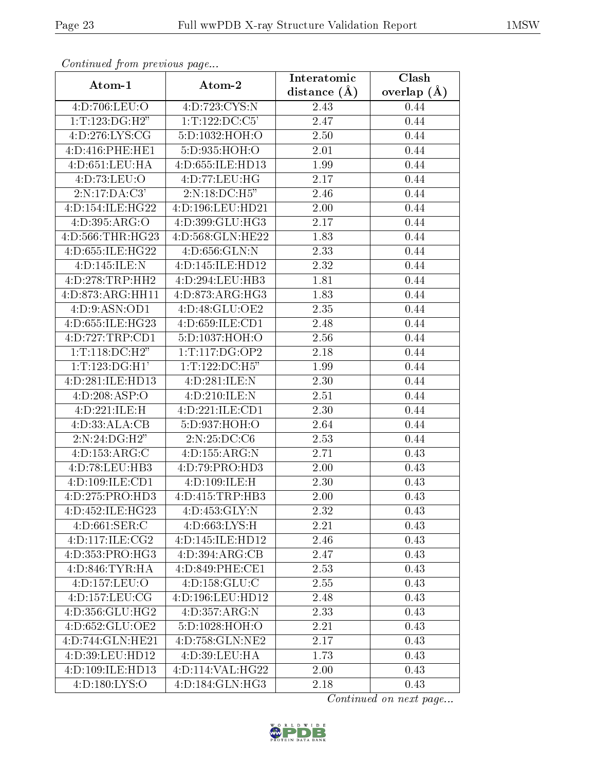| continuou provis uo pugo     |                           | Interatomic    | Clash           |
|------------------------------|---------------------------|----------------|-----------------|
| Atom-1                       | Atom-2                    | distance $(A)$ | overlap $(\AA)$ |
| 4:D:706:LEU:O                | 4:D:723:CYS:N             | 2.43           | 0.44            |
| 1:T:123:DG:H2"               | 1:T:122:DC:C5'            | 2.47           | 0.44            |
| 4:D:276:LYS:CG               | 5:D:1032:HOH:O            | 2.50           | 0.44            |
| 4:D:416:PHE:HE1              | 5:D:935:HOH:O             | 2.01           | 0.44            |
| 4:D:651:LEU:HA               | 4:D:655:ILE:HD13          | 1.99           | 0.44            |
| 4:D:73:LEU:O                 | 4:D:77:LEU:HG             | 2.17           | 0.44            |
| 2:N:17:DA:C3'                | 2:N:18:DC:H5"             | 2.46           | 0.44            |
| 4:D:154:ILE:HG22             | 4:D:196:LEU:HD21          | 2.00           | 0.44            |
| 4:D:395:ARG:O                | 4:D:399:GLU:HG3           | 2.17           | 0.44            |
| 4:D:566:THR:HG23             | 4:D:568:GLN:HE22          | 1.83           | 0.44            |
| 4:D:655:ILE:HG22             | 4:D:656:GLN:N             | 2.33           | 0.44            |
| 4:D:145:ILE:N                | 4:D:145:ILE:HD12          | 2.32           | 0.44            |
| 4:D:278:TRP:HH2              | 4:D:294:LEU:HB3           | 1.81           | 0.44            |
| 4:D:873:ARG:HH11             | 4:D:873:ARG:HG3           | 1.83           | 0.44            |
| 4:D:9:ASN:OD1                | 4:D:48:GLU:OE2            | 2.35           | 0.44            |
| 4:D:655:ILE:HG23             | 4:D:659:ILE:CD1           | 2.48           | 0.44            |
| 4:D:727:TRP:CD1              | 5:D:1037:HOH:O            | 2.56           | 0.44            |
| 1: T: 118: DC: H2"           | 1:T:117:DG:OP2            | 2.18           | 0.44            |
| 1: T: 123: DG:H1'            | 1:T:122:DC:H5"            | 1.99           | 0.44            |
| 4:D:281:ILE:HD13             | 4:D:281:ILE:N             | 2.30           | 0.44            |
| $4:D:208: \overline{ASP:O}$  | 4:D:210:ILE:N             | 2.51           | 0.44            |
| 4:D:221:ILE:H                | 4:D:221:ILE:CD1           | 2.30           | 0.44            |
| 4:D:33:ALA:CB                | 5:D:937:HOH:O             | 2.64           | 0.44            |
| $2:N:24:\overline{DG:H2"}$   | $2:N:25:\overline{DC:C6}$ | 2.53           | 0.44            |
| 4:D:153:ARG:C                | 4: D: 155: ARG: N         | 2.71           | 0.43            |
| 4:D:78:LEU:HB3               | 4:D:79:PRO:HD3            | $2.00\,$       | 0.43            |
| 4:D:109:ILE:CD1              | 4:D:109:ILE:H             | 2.30           | 0.43            |
| 4:D:275:PRO:HD3              | 4:D:415:TRP:HB3           | 2.00           | 0.43            |
| 4:D:452:ILE:HG23             | 4:D:453:GLY:N             | 2.32           | 0.43            |
| 4:D:661:SER:C                | 4:D:663:LYS:H             | 2.21           | 0.43            |
| 4: D: 117: ILE: CG2          | 4:D:145:ILE:HD12          | 2.46           | 0.43            |
| $4:D:353:PRO:H\overline{G3}$ | 4:D:394:ARG:CB            | 2.47           | 0.43            |
| 4: D:846: TYR: HA            | 4:D:849:PHE:CE1           | 2.53           | 0.43            |
| 4:D:157:LEU:O                | 4:D:158:GLU:C             | 2.55           | 0.43            |
| 4: D: 157: LEU: CG           | 4:D:196:LEU:HD12          | 2.48           | 0.43            |
| 4:D:356:GLU:HG2              | 4:D:357:ARG:N             | 2.33           | 0.43            |
| 4:D:652:GLU:OE2              | 5:D:1028:HOH:O            | 2.21           | 0.43            |
| 4:D:744:GLN:HE21             | 4:D:758:GLN:NE2           | 2.17           | 0.43            |
| 4:D:39:LEU:HD12              | 4:D:39:LEU:HA             | 1.73           | 0.43            |
| 4:D:109:ILE:HD13             | 4:D:114:VAL:HG22          | 2.00           | 0.43            |
| 4:D:180:LYS:O                | 4:D:184:GLN:HG3           | 2.18           | 0.43            |

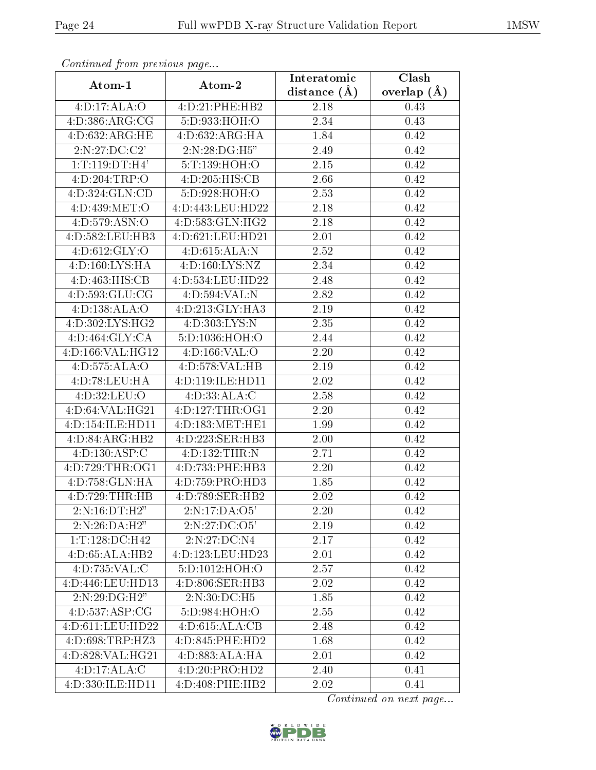| Continuatu from previous page |                           | Interatomic      | Clash           |
|-------------------------------|---------------------------|------------------|-----------------|
| Atom-1                        | Atom-2                    | distance $(\AA)$ | overlap $(\AA)$ |
| $4: D:17: \overline{ALA:O}$   | 4:D:21:PHE:HB2            | $2.18\,$         | 0.43            |
| 4: D: 386: ARG: CG            | 5:D:933:HOH:O             | 2.34             | 0.43            |
| 4:D:632:ARG:HE                | 4: D:632: ARG:HA          | 1.84             | 0.42            |
| 2:N:27:DC:C2'                 | 2:N:28:DG:H5"             | 2.49             | 0.42            |
| 1: T: 119: DT:H4'             | 5:T:139:HOH:O             | 2.15             | 0.42            |
| 4:D:204:TRP:O                 | 4:D:205:HIS:CB            | 2.66             | 0.42            |
| 4:D:324:GLN:CD                | 5:D:928:HOH:O             | 2.53             | 0.42            |
| 4:D:439:MET:O                 | 4:D:443:LEU:HD22          | 2.18             | 0.42            |
| 4: D: 579: ASN: O             | 4:D:583:GLN:HG2           | 2.18             | 0.42            |
| 4:D:582:LEU:HB3               | 4:D:621:LEU:HD21          | 2.01             | 0.42            |
| 4: D:612: GLY:O               | 4:D:615:ALA:N             | 2.52             | 0.42            |
| 4:D:160:LYS:HA                | 4:D:160:LYS:NZ            | 2.34             | 0.42            |
| 4:D:463:HIS:CB                | 4:D:534:LEU:HD22          | 2.48             | 0.42            |
| 4:D:593:GLU:CG                | 4:D:594:VAL:N             | 2.82             | 0.42            |
| 4:D:138:ALA:O                 | 4:D:213:GLY:HA3           | 2.19             | 0.42            |
| 4:D:302:LYS:HG2               | 4:D:303:LYS:N             | 2.35             | 0.42            |
| 4:D:464:GLY:CA                | 5:D:1036:HOH:O            | 2.44             | 0.42            |
| 4:D:166:VAL:HG12              | 4: D: 166: VAL: O         | $2.20\,$         | 0.42            |
| 4:D:575:ALA:O                 | 4:D:578:VAL:HB            | 2.19             | 0.42            |
| 4:D:78:LEU:HA                 | 4:D:119:ILE:HD11          | 2.02             | 0.42            |
| 4:D:32:LEU:O                  | 4: D: 33: ALA: C          | 2.58             | 0.42            |
| 4:D:64:VAL:HG21               | 4:D:127:THR:OG1           | 2.20             | 0.42            |
| 4:D:154:ILE:HD11              | 4:D:183:MET:HE1           | 1.99             | 0.42            |
| 4:D:84:ARG:HB2                | 4:D:223:SER:HB3           | 2.00             | 0.42            |
| 4:D:130:ASP:C                 | 4:D:132:THR:N             | 2.71             | 0.42            |
| 4:D:729:THR:OG1               | 4:D:733:PHE:HB3           | 2.20             | 0.42            |
| 4:D:758:GLN:HA                | 4:D:759:PRO:HD3           | 1.85             | 0.42            |
| 4:D:729:THR:HB                | 4:D:789:SER:HB2           | 2.02             | 0.42            |
| 2:N:16:DT:H2"                 | $2:N:17:\overline{DA:O5}$ | 2.20             | 0.42            |
| 2:N:26:DA:H2"                 | 2:N:27:DC:O5'             | 2.19             | 0.42            |
| 1:T:128:DC:H42                | 2:N:27:DC:N4              | 2.17             | 0.42            |
| 4:D:65:ALA:HB2                | 4:D:123:LEU:HD23          | 2.01             | 0.42            |
| 4:D:735:VAL:C                 | 5: D: 1012: HOH:O         | 2.57             | 0.42            |
| 4:D:446:LEU:HD13              | 4:D:806:SER:HB3           | 2.02             | 0.42            |
| 2:N:29:DG:H2"                 | 2:N:30:DC:H5              | 1.85             | 0.42            |
| 4:D:537:ASP:CG                | 5:D:984:HOH:O             | 2.55             | 0.42            |
| 4:D:611:LEU:HD22              | 4: D:615: ALA: CB         | 2.48             | 0.42            |
| 4:D:698:TRP:HZ3               | 4:D:845:PHE:HD2           | 1.68             | 0.42            |
| 4:D:828:VAL:HG21              | 4:D:883:ALA:HA            | 2.01             | 0.42            |
| 4: D: 17: ALA: C              | 4:D:20:PRO:HD2            | 2.40             | 0.41            |
| 4:D:330:ILE:HD11              | 4:D:408:PHE:HB2           | 2.02             | 0.41            |

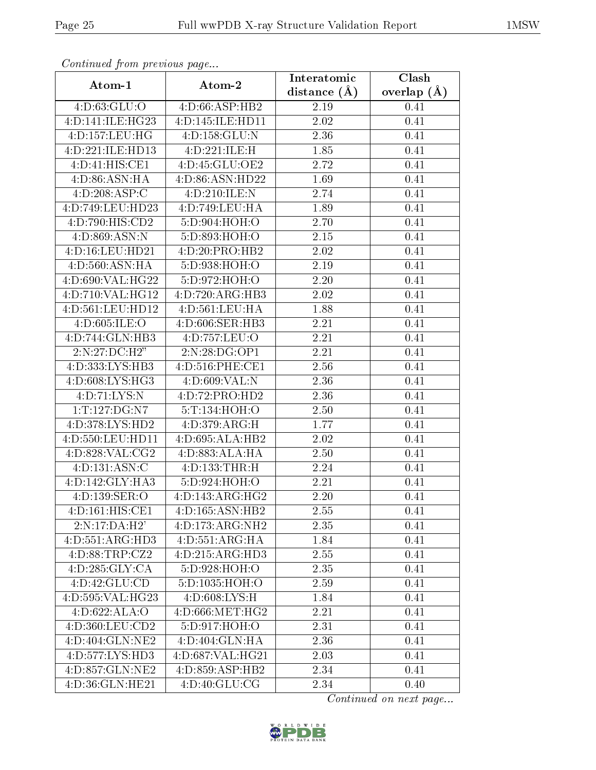| Continuata from previous page  |                              | Interatomic       | Clash           |
|--------------------------------|------------------------------|-------------------|-----------------|
| Atom-1                         | Atom-2                       | distance $(A)$    | overlap $(\AA)$ |
| 4:D:63:GLU:O                   | 4:D:66:ASP:HB2               | 2.19              | 0.41            |
| 4:D:141:ILE:HG23               | 4:D:145:ILE:HD11             | $\overline{2}.02$ | 0.41            |
| 4:D:157:LEU:HG                 | 4: D: 158: GLU: N            | 2.36              | 0.41            |
| 4:D:221:ILE:HD13               | 4:D:221:ILE:H                | 1.85              | 0.41            |
| $4: D: 41: \overline{HIS:CE1}$ | 4:D:45:GLU:OE2               | 2.72              | 0.41            |
| 4:D:86:ASN:HA                  | 4:D:86:ASN:HD22              | 1.69              | 0.41            |
| 4:D:208:ASP:C                  | 4:D:210:ILE:N                | 2.74              | 0.41            |
| 4:D:749:LEU:HD23               | 4:D:749:LEU:HA               | 1.89              | 0.41            |
| 4:D:790:HIS:CD2                | 5:D:904:HOH:O                | 2.70              | 0.41            |
| 4:D:869:ASN:N                  | 5:D:893:HOH:O                | 2.15              | 0.41            |
| 4:D:16:LEU:HD21                | 4:D:20:PRO:HB2               | 2.02              | 0.41            |
| 4: D: 560: ASN: HA             | 5:D:938:HOH:O                | 2.19              | 0.41            |
| 4:D:690:VAL:HG22               | 5:D:972:HOH:O                | 2.20              | 0.41            |
| 4:D:710:VAL:HG12               | 4:D:720:ARG:HB3              | 2.02              | 0.41            |
| 4:D:561:LEU:HD12               | 4: D: 561: LEU: HA           | 1.88              | 0.41            |
| 4:D:605:ILE:O                  | 4:D:606:SER:HB3              | 2.21              | 0.41            |
| 4:D:744:GLN:HB3                | 4:D:757:LEU:O                | 2.21              | 0.41            |
| 2:N:27:DC:H2"                  | 2:N:28:DG:OP1                | 2.21              | 0.41            |
| 4:D:333:LYS:HB3                | 4:D:516:PHE:CE1              | 2.56              | 0.41            |
| 4: D:608: LYS: HG3             | 4:D:609:VAL:N                | 2.36              | 0.41            |
| 4:D:71:LYS:N                   | 4:D:72:PRO:HD2               | 2.36              | 0.41            |
| 1:T:127:DG:N7                  | 5:T:134:HOH:O                | 2.50              | 0.41            |
| 4:D:378:LYS:HD2                | 4:D:379:ARG:H                | 1.77              | 0.41            |
| 4:D:550:LEU:HD11               | 4:D:695:ALA:HB2              | 2.02              | 0.41            |
| 4:D:828:VAL:CG2                | 4:D:883:ALA:HA               | 2.50              | 0.41            |
| 4: D: 131: ASN: C              | 4:D:133:THR:H                | 2.24              | 0.41            |
| 4:D:142:GLY:HA3                | 5:D:924:HOH:O                | 2.21              | 0.41            |
| 4:D:139:SER:O                  | 4: D: 143: ARG: HG2          | 2.20              | 0.41            |
| 4:D:161:HIS:CE1                | 4:D:165:ASN:HB2              | 2.55              | 0.41            |
| $2:N:17:\overline{DA:H2'}$     | 4:D:173:ARG:NH2              | 2.35              | 0.41            |
| 4:D:551:ARG:HD3                | 4: D: 551: ARG: HA           | 1.84              | 0.41            |
| 4:D:88:TRP:CZ2                 | 4:D:215:ARG:HD3              | 2.55              | 0.41            |
| 4:D:285:GLY:CA                 | 5:D:928:HOH:O                | 2.35              | 0.41            |
| 4:D:42:GLU:CD                  | 5:D:1035:HOH:O               | 2.59              | 0.41            |
| 4:D:595:VAL:HG23               | 4: D:608: LYS:H              | 1.84              | 0.41            |
| 4:D:622:ALA:O                  | 4:D:666:MET:HG2              | 2.21              | 0.41            |
| 4:D:360:LEU:CD2                | 5:D:917:HOH:O                | 2.31              | 0.41            |
| 4:D:404:GLN:NE2                | $4:D:404:GLN:\overline{HA}$  | 2.36              | 0.41            |
| 4:D:577:LYS:HD3                | 4:D:687:VAL:HG21             | 2.03              | 0.41            |
| 4:D:857:GLN:NE2                | $4:D:859:ASP:H\overline{B2}$ | 2.34              | 0.41            |
| 4:D:36:GLN:HE21                | 4:D:40:GLU:CG                | 2.34              | 0.40            |

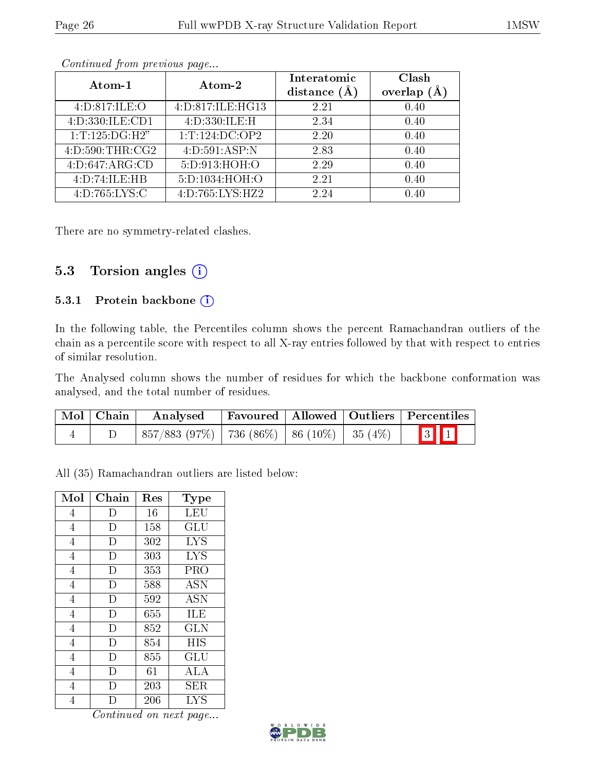| Atom-1             | Atom-2             | Interatomic<br>distance $(A)$ | Clash<br>(Å<br>overlap |
|--------------------|--------------------|-------------------------------|------------------------|
| 4:D:817:ILE:O      | 4:D:817:ILE:HG13   | 2.21                          | 0.40                   |
| 4:D:330:ILE:CD1    | 4:D:330:ILE:H      | 2.34                          | 0.40                   |
| 1: T: 125: DG: H2" | 1: T: 124: DC: OP2 | 2.20                          | 0.40                   |
| 4: D:590: THR:CG2  | 4:D:591:ASP:N      | 2.83                          | 0.40                   |
| 4:D:647:ARG:CD     | 5:D:913:HOH:O      | 2.29                          | 0.40                   |
| 4:D:74:ILE:HB      | 5:D:1034:HOH:O     | 2.21                          | 0.40                   |
| 4:D:765:LYS:C      | 4:D:765:LYS:HZ2    | 2.24                          | 0.40                   |

There are no symmetry-related clashes.

#### 5.3 Torsion angles (i)

#### 5.3.1 Protein backbone (i)

In the following table, the Percentiles column shows the percent Ramachandran outliers of the chain as a percentile score with respect to all X-ray entries followed by that with respect to entries of similar resolution.

The Analysed column shows the number of residues for which the backbone conformation was analysed, and the total number of residues.

| Mol   Chain | Analysed   Favoured   Allowed   Outliers   Percentiles |  |                               |
|-------------|--------------------------------------------------------|--|-------------------------------|
|             | $857/883$ (97\%)   736 (86\%)   86 (10\%)   35 (4\%)   |  | $\vert 3 \vert \vert 1 \vert$ |

All (35) Ramachandran outliers are listed below:

| Mol            | Chain | Res | Type                            |
|----------------|-------|-----|---------------------------------|
| 4              | I)    | 16  | LEU                             |
| $\overline{4}$ | D     | 158 | GLU                             |
| 4              | D     | 302 | <b>LYS</b>                      |
| $\overline{4}$ | D     | 303 | <b>LYS</b>                      |
| 4              | D     | 353 | PRO                             |
| $\overline{4}$ | D     | 588 | <b>ASN</b>                      |
| 4              | D     | 592 | ASN                             |
| $\overline{4}$ | D     | 655 | ILE                             |
| $\overline{4}$ | D     | 852 | <b>GLN</b>                      |
| $\overline{4}$ | D     | 854 | <b>HIS</b>                      |
| $\overline{4}$ | Ð     | 855 | $\operatorname{GLU}$            |
| $\overline{4}$ | Ð     | 61  | ALA                             |
| $\overline{4}$ | Ð     | 203 | SER                             |
| 4              |       | 206 | $\overline{\text{L}} \text{YS}$ |

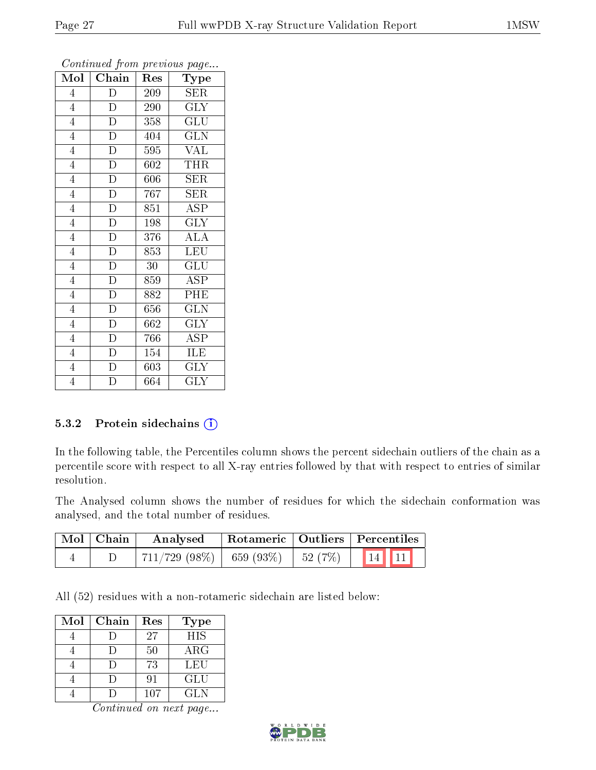| Mol            | Chain              | Res              | <b>Type</b>             |
|----------------|--------------------|------------------|-------------------------|
| $\overline{4}$ | D                  | 209              | <b>SER</b>              |
| $\overline{4}$ | ${\rm D}$          | 290              | <b>GLY</b>              |
| $\overline{4}$ | $\overline{D}$     | 358              | $\overline{{\rm GLU}}$  |
| $\overline{4}$ | $\overline{D}$     | 404              | <b>GLN</b>              |
| $\overline{4}$ | $\overline{\rm D}$ | 595              | <b>VAL</b>              |
| $\overline{4}$ | $\overline{D}$     | 602              | <b>THR</b>              |
| $\overline{4}$ | $\overline{D}$     | 606              | <b>SER</b>              |
| $\overline{4}$ | $\overline{\rm D}$ | 767              | <b>SER</b>              |
| $\overline{4}$ | $\overline{D}$     | 851              | ASP                     |
| $\overline{4}$ | $\overline{\rm D}$ | 198              | $\overline{\text{GLY}}$ |
| $\overline{4}$ | $\overline{D}$     | $\overline{3}76$ | $\overline{ALA}$        |
| $\overline{4}$ | $\overline{D}$     | 853              | LEU                     |
| $\overline{4}$ | $\overline{\rm D}$ | 30               | GLU                     |
| $\overline{4}$ | $\overline{D}$     | $\overline{8}59$ | $\overline{\text{ASP}}$ |
| $\overline{4}$ | $\overline{D}$     | 882              | PHE                     |
| $\overline{4}$ | $\overline{\rm D}$ | 656              | <b>GLN</b>              |
| $\overline{4}$ | $\overline{D}$     | 662              | $\overline{\text{GLY}}$ |
| $\overline{4}$ | $\overline{\rm D}$ | 766              | <b>ASP</b>              |
| $\overline{4}$ | $\mathbf D$        | 154              | ILE                     |
| $\overline{4}$ | $\overline{\rm D}$ | 603              | $\overline{\text{GLY}}$ |
| $\overline{4}$ | $\overline{D}$     | 664              | <b>GLY</b>              |

#### 5.3.2 Protein sidechains (i)

In the following table, the Percentiles column shows the percent sidechain outliers of the chain as a percentile score with respect to all X-ray entries followed by that with respect to entries of similar resolution.

The Analysed column shows the number of residues for which the sidechain conformation was analysed, and the total number of residues.

| $\mid$ Mol $\mid$ Chain | $\boldsymbol{\mathrm{Analysed}}$         |  | Rotameric   Outliers   Percentiles |
|-------------------------|------------------------------------------|--|------------------------------------|
|                         | $711/729$ (98\%)   659 (93\%)   52 (7\%) |  | $\ 14\ $ $\ 11\ $                  |

All (52) residues with a non-rotameric sidechain are listed below:

| $\operatorname{Mol}$ | Chain | Res | Type       |
|----------------------|-------|-----|------------|
|                      |       | 27  | <b>HIS</b> |
|                      |       | 50  | $\rm{ARG}$ |
|                      |       | 73  | LEU        |
|                      |       | 91  | GLU        |
|                      |       | 107 | GLN.       |

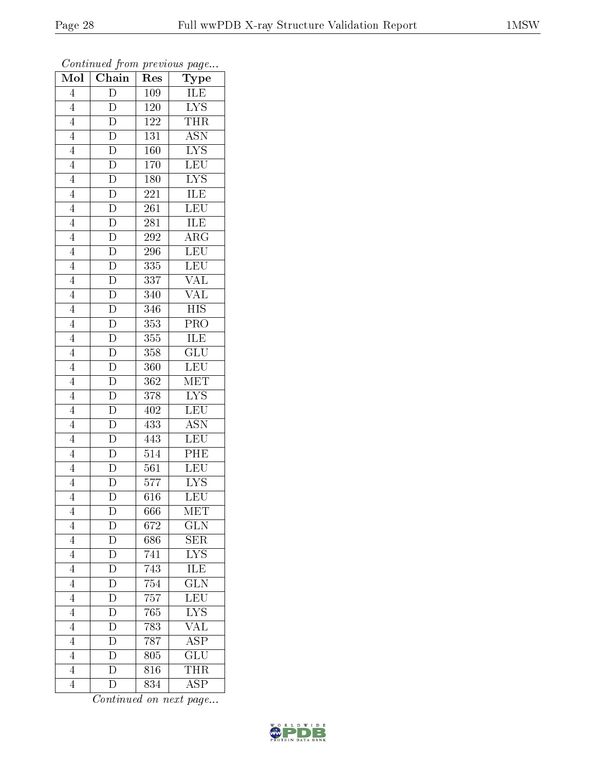| Mol            | $\boldsymbol{\cdot}$<br>$\sqrt{\frac{1}{1}}$ Chain                      | r -<br>Res       | $\mathbf{r}$ - $\mathbf{v}$<br>${\rm \bar{Type}}$ |
|----------------|-------------------------------------------------------------------------|------------------|---------------------------------------------------|
| $\overline{4}$ | $\overline{\rm D}$                                                      | 109              | ILE                                               |
| $\overline{4}$ | $\overline{D}$                                                          | 120              | $\overline{\text{LYS}}$                           |
| $\overline{4}$ | $\overline{D}$                                                          | 122              | <b>THR</b>                                        |
| $\overline{4}$ |                                                                         | 131              | $\overline{\mathrm{ASN}}$                         |
| $\overline{4}$ | $\frac{\overline{D}}{\overline{D}}$ $\frac{\overline{D}}{\overline{D}}$ | 160              | <b>LYS</b>                                        |
| $\overline{4}$ |                                                                         | 170              | $\overline{\text{LEU}}$                           |
| $\overline{4}$ |                                                                         | 180              | $\overline{\text{LYS}}$                           |
| $\overline{4}$ |                                                                         | 221              | <b>ILE</b>                                        |
| $\overline{4}$ |                                                                         | 261              | $\overline{\text{LEU}}$                           |
| $\overline{4}$ |                                                                         | 281              | ILE                                               |
| $\overline{4}$ |                                                                         | 292              | $\overline{\rm{ARG}}$                             |
| $\overline{4}$ |                                                                         | 296              | LEU                                               |
| $\overline{4}$ |                                                                         | 335              | <b>LEU</b>                                        |
| $\overline{4}$ |                                                                         | 337              | $\overline{\text{VAL}}$                           |
| $\overline{4}$ |                                                                         | 340              | $\overline{\text{VAL}}$                           |
| $\overline{4}$ |                                                                         | 346              | $\overline{HIS}$                                  |
| $\overline{4}$ |                                                                         | $\overline{353}$ | $\overline{\text{PRO}}$                           |
| $\overline{4}$ |                                                                         | 355              | ILE                                               |
| $\overline{4}$ |                                                                         | 358              | $\overline{\text{GLU}}$                           |
| $\overline{4}$ |                                                                         | 360              | <b>LEU</b>                                        |
| $\overline{4}$ |                                                                         | 362              | MET                                               |
| $\overline{4}$ |                                                                         | 378              | $\overline{\text{LYS}}$                           |
| $\overline{4}$ | $\overline{D}$                                                          | 402              | <b>LEU</b>                                        |
| $\overline{4}$ | $\frac{\overline{D}}{\overline{D}}$                                     | 433              | $\overline{\mathrm{ASN}}$                         |
| $\overline{4}$ |                                                                         | 443              | LEU                                               |
| $\overline{4}$ |                                                                         | 514              | PHE                                               |
| $\overline{4}$ | $\frac{\overline{D}}{D}$                                                | $\overline{561}$ | <b>LEU</b>                                        |
| $\overline{4}$ |                                                                         | $577\,$          | $\overline{\text{LYS}}$                           |
| $\overline{4}$ | $\overline{\rm D}$                                                      | 616              | $\overline{\text{LEU}}$                           |
| 4              | $\mathbf D$                                                             | 666              | MET                                               |
| $\overline{4}$ | $\mathbf{D}$                                                            | 672              | <b>GLN</b>                                        |
| $\overline{4}$ | $\overline{D}$                                                          | 686              | $\rm{SER}$                                        |
| $\overline{4}$ | $\overline{\rm D}$                                                      | 741              | $\overline{\text{LYS}}$                           |
| $\overline{4}$ | $\overline{\rm D}$                                                      | 743              | $\overline{\text{ILE}}$                           |
| $\overline{4}$ | $\mathbf{D}$                                                            | 754              | <b>GLN</b>                                        |
| $\overline{4}$ | $\frac{\overline{D}}{D}$                                                | 757              | $\overline{\text{LEU}}$                           |
| $\overline{4}$ |                                                                         | 765              | $\overline{\text{LYS}}$                           |
| $\overline{4}$ | $\overline{\rm D}$                                                      | 783              | $\overline{\text{VAL}}$                           |
| $\overline{4}$ | $\overline{D}$                                                          | $\overline{787}$ | $\overline{\rm ASP}$                              |
| $\overline{4}$ | $\overline{\mathbf{D}}$                                                 | 805              | $\overline{\text{GLU}}$                           |
| $\overline{4}$ | $\frac{1}{D}$                                                           | 816              | $\overline{\text{THR}}$                           |
| $\overline{4}$ | D                                                                       | 834              | $\overline{\text{ASP}}$                           |

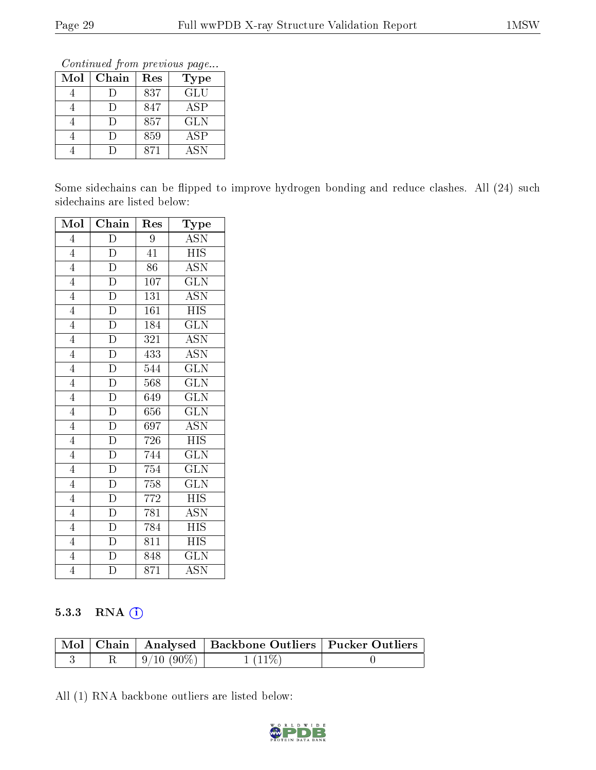Continued from previous page...

| Mol | Chain | Res | Type       |
|-----|-------|-----|------------|
|     |       | 837 | <b>GLU</b> |
|     |       | 847 | <b>ASP</b> |
|     |       | 857 | <b>GLN</b> |
|     |       | 859 | <b>ASP</b> |
|     |       | 871 | <b>ASN</b> |

Some sidechains can be flipped to improve hydrogen bonding and reduce clashes. All (24) such sidechains are listed below:

| Mol            | $\overline{\text{Chain}}$ | Res              | Type                      |
|----------------|---------------------------|------------------|---------------------------|
| $\overline{4}$ | $\overline{\rm D}$        | 9                | <b>ASN</b>                |
| $\overline{4}$ | $\overline{\rm D}$        | $\overline{41}$  | $\overline{HIS}$          |
| $\overline{4}$ | $\overline{\text{D}}$     | 86               | $\overline{\mathrm{ASN}}$ |
| $\overline{4}$ | $\overline{D}$            | $\overline{107}$ | $\overline{\text{GLN}}$   |
| $\overline{4}$ | $\overline{\rm D}$        | 131              | <b>ASN</b>                |
| $\overline{4}$ | $\overline{D}$            | 161              | $\overline{HIS}$          |
| $\overline{4}$ | $\overline{D}$            | 184              | $\overline{\text{GLN}}$   |
| $\overline{4}$ | $\overline{D}$            | 321              | <b>ASN</b>                |
| $\overline{4}$ | $\overline{D}$            | 433              | $\overline{\mathrm{ASN}}$ |
| $\overline{4}$ | $\overline{D}$            | 544              | <b>GLN</b>                |
| $\overline{4}$ | $\overline{D}$            | 568              | <b>GLN</b>                |
| $\overline{4}$ | $\overline{D}$            | 649              | <b>GLN</b>                |
| $\overline{4}$ | $\overline{D}$            | 656              | <b>GLN</b>                |
| $\overline{4}$ | $\overline{D}$            | 697              | $\overline{\mathrm{ASN}}$ |
| $\overline{4}$ | $\overline{\rm D}$        | 726              | <b>HIS</b>                |
| $\overline{4}$ | $\overline{D}$            | 744              | $\widetilde{\text{GLN}}$  |
| $\overline{4}$ | $\overline{D}$            | 754              | <b>GLN</b>                |
| $\overline{4}$ | $\overline{D}$            | 758              | <b>GLN</b>                |
| $\overline{4}$ | $\overline{\rm D}$        | 772              | <b>HIS</b>                |
| $\overline{4}$ | $\overline{D}$            | 781              | <b>ASN</b>                |
| $\overline{4}$ | $\overline{\rm D}$        | 784              | $\overline{\text{HIS}}$   |
| $\overline{4}$ | $\overline{D}$            | 811              | HIS                       |
| $\overline{4}$ | $\overline{\rm D}$        | 848              | <b>GLN</b>                |
| $\overline{4}$ | $\overline{D}$            | 871              | ASN                       |

#### 5.3.3 RNA (1)

|  |              | Mol   Chain   Analysed   Backbone Outliers   Pucker Outliers |  |
|--|--------------|--------------------------------------------------------------|--|
|  | $9/10(90\%)$ | $1(11\%)$                                                    |  |

All (1) RNA backbone outliers are listed below:

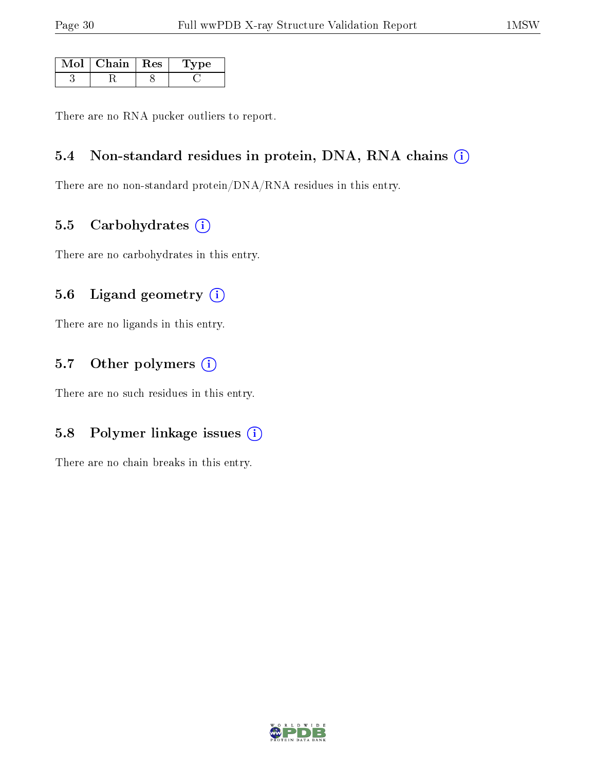| $\mathrm{Mol}\mid\mathrm{Chain}\mid\mathrm{Res}\mid$ | Tvpe |
|------------------------------------------------------|------|
|                                                      |      |

There are no RNA pucker outliers to report.

#### 5.4 Non-standard residues in protein, DNA, RNA chains (i)

There are no non-standard protein/DNA/RNA residues in this entry.

#### 5.5 Carbohydrates  $(i)$

There are no carbohydrates in this entry.

#### 5.6 Ligand geometry  $(i)$

There are no ligands in this entry.

#### 5.7 [O](https://www.wwpdb.org/validation/2017/XrayValidationReportHelp#nonstandard_residues_and_ligands)ther polymers  $(i)$

There are no such residues in this entry.

#### 5.8 Polymer linkage issues  $(i)$

There are no chain breaks in this entry.